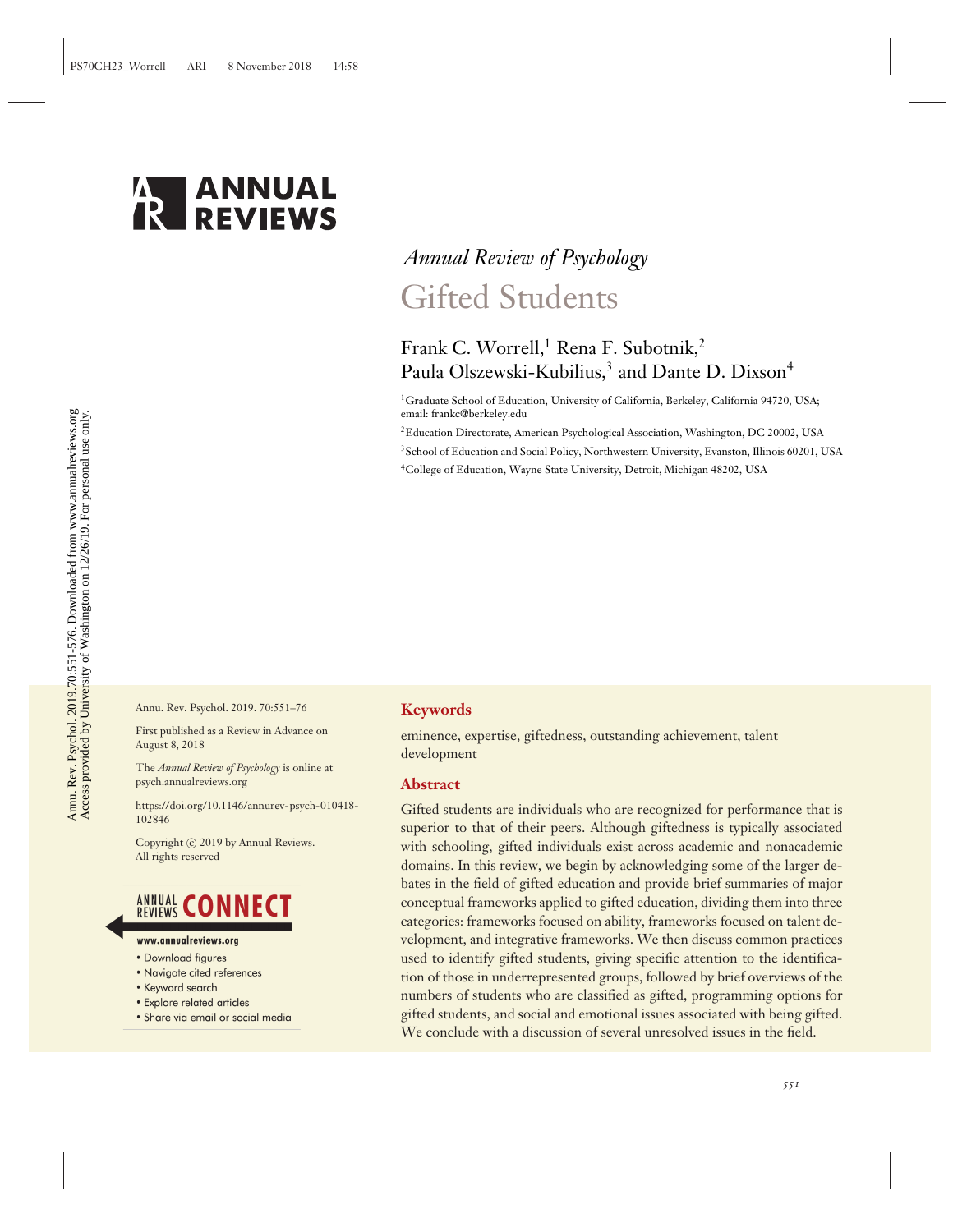

# *Annual Review of Psychology* Gifted Students

## Frank C. Worrell,<sup>1</sup> Rena F. Subotnik,<sup>2</sup> Paula Olszewski-Kubilius,<sup>3</sup> and Dante D. Dixson<sup>4</sup>

<sup>1</sup>Graduate School of Education, University of California, Berkeley, California 94720, USA; email: frankc@berkeley.edu

2Education Directorate, American Psychological Association, Washington, DC 20002, USA <sup>3</sup>School of Education and Social Policy, Northwestern University, Evanston, Illinois 60201, USA 4College of Education, Wayne State University, Detroit, Michigan 48202, USA

Annu. Rev. Psychol. 2019. 70:551–76

First published as a Review in Advance on August 8, 2018

The *Annual Review of Psychology* is online at psych.annualreviews.org

[https://doi.org/10.1146/annurev-psych-010418-](https://doi.org/10.1146/annurev-psych-010418-102846) [102846](https://doi.org/10.1146/annurev-psych-010418-102846)

Copyright © 2019 by Annual Reviews. All rights reserved

## **ANNUAL CONNECT**

- www.annualreviews.org
- Download figures
- Navigate cited references
- Keyword search
- Explore related articles
- · Share via email or social media

#### **Keywords**

eminence, expertise, giftedness, outstanding achievement, talent development

#### **Abstract**

Gifted students are individuals who are recognized for performance that is superior to that of their peers. Although giftedness is typically associated with schooling, gifted individuals exist across academic and nonacademic domains. In this review, we begin by acknowledging some of the larger debates in the field of gifted education and provide brief summaries of major conceptual frameworks applied to gifted education, dividing them into three categories: frameworks focused on ability, frameworks focused on talent development, and integrative frameworks. We then discuss common practices used to identify gifted students, giving specific attention to the identification of those in underrepresented groups, followed by brief overviews of the numbers of students who are classified as gifted, programming options for gifted students, and social and emotional issues associated with being gifted. We conclude with a discussion of several unresolved issues in the field.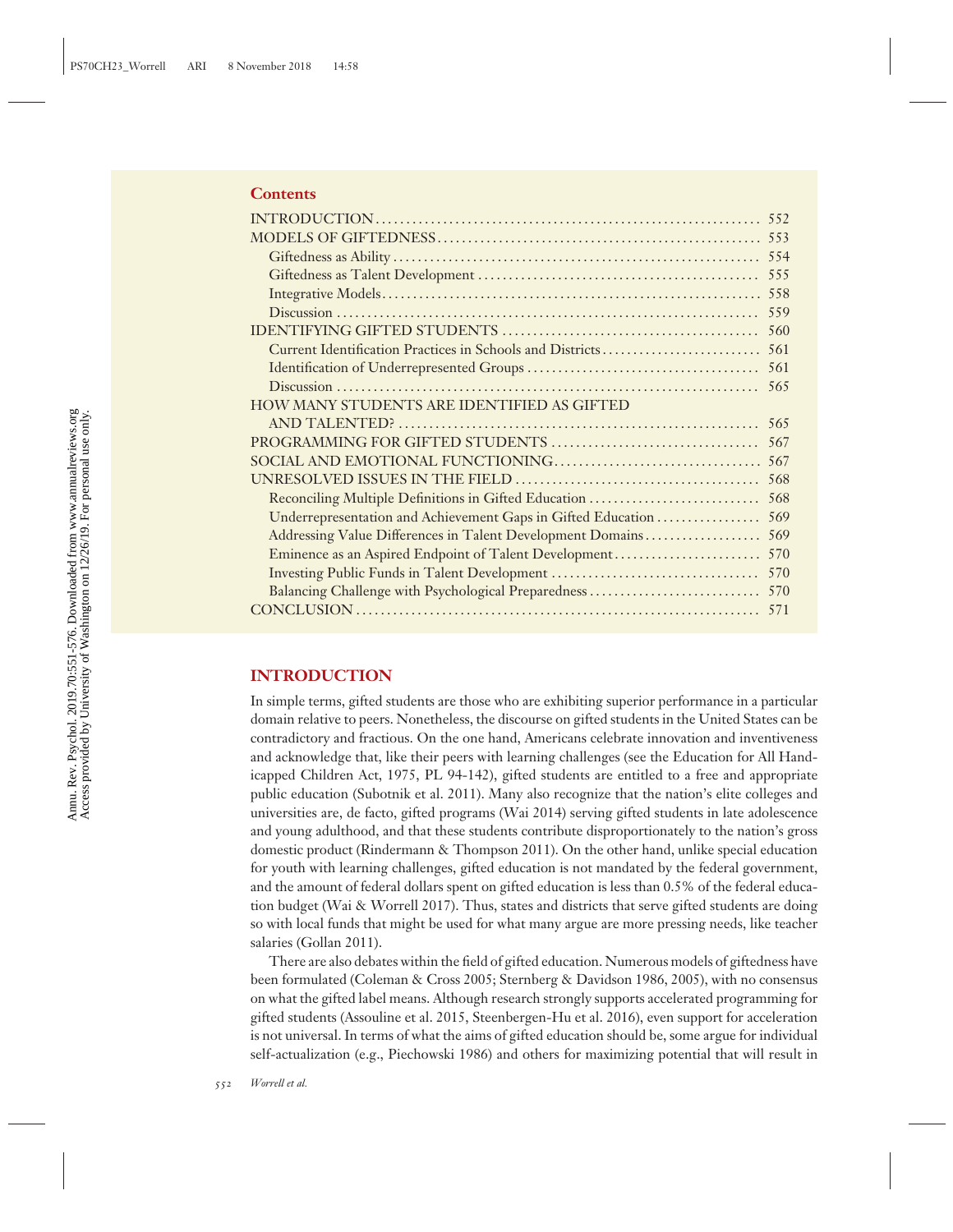#### **Contents**

|                                                            | 554 |
|------------------------------------------------------------|-----|
|                                                            | 555 |
|                                                            | 558 |
|                                                            | 559 |
|                                                            | 560 |
|                                                            | 561 |
|                                                            | 561 |
|                                                            | 565 |
| <b>HOW MANY STUDENTS ARE IDENTIFIED AS GIFTED</b>          |     |
|                                                            | 565 |
|                                                            | 567 |
|                                                            | 567 |
|                                                            | 568 |
| Reconciling Multiple Definitions in Gifted Education       | 568 |
|                                                            | 569 |
| Addressing Value Differences in Talent Development Domains | 569 |
| Eminence as an Aspired Endpoint of Talent Development      | 570 |
|                                                            | 570 |
|                                                            |     |
|                                                            | 571 |
|                                                            |     |

## **INTRODUCTION**

In simple terms, gifted students are those who are exhibiting superior performance in a particular domain relative to peers. Nonetheless, the discourse on gifted students in the United States can be contradictory and fractious. On the one hand, Americans celebrate innovation and inventiveness and acknowledge that, like their peers with learning challenges (see the Education for All Handicapped Children Act, 1975, PL 94-142), gifted students are entitled to a free and appropriate public education (Subotnik et al. 2011). Many also recognize that the nation's elite colleges and universities are, de facto, gifted programs (Wai 2014) serving gifted students in late adolescence and young adulthood, and that these students contribute disproportionately to the nation's gross domestic product (Rindermann & Thompson 2011). On the other hand, unlike special education for youth with learning challenges, gifted education is not mandated by the federal government, and the amount of federal dollars spent on gifted education is less than 0.5% of the federal education budget (Wai & Worrell 2017). Thus, states and districts that serve gifted students are doing so with local funds that might be used for what many argue are more pressing needs, like teacher salaries (Gollan 2011).

There are also debates within the field of gifted education. Numerous models of giftedness have been formulated (Coleman & Cross 2005; Sternberg & Davidson 1986, 2005), with no consensus on what the gifted label means. Although research strongly supports accelerated programming for gifted students (Assouline et al. 2015, Steenbergen-Hu et al. 2016), even support for acceleration is not universal. In terms of what the aims of gifted education should be, some argue for individual self-actualization (e.g., Piechowski 1986) and others for maximizing potential that will result in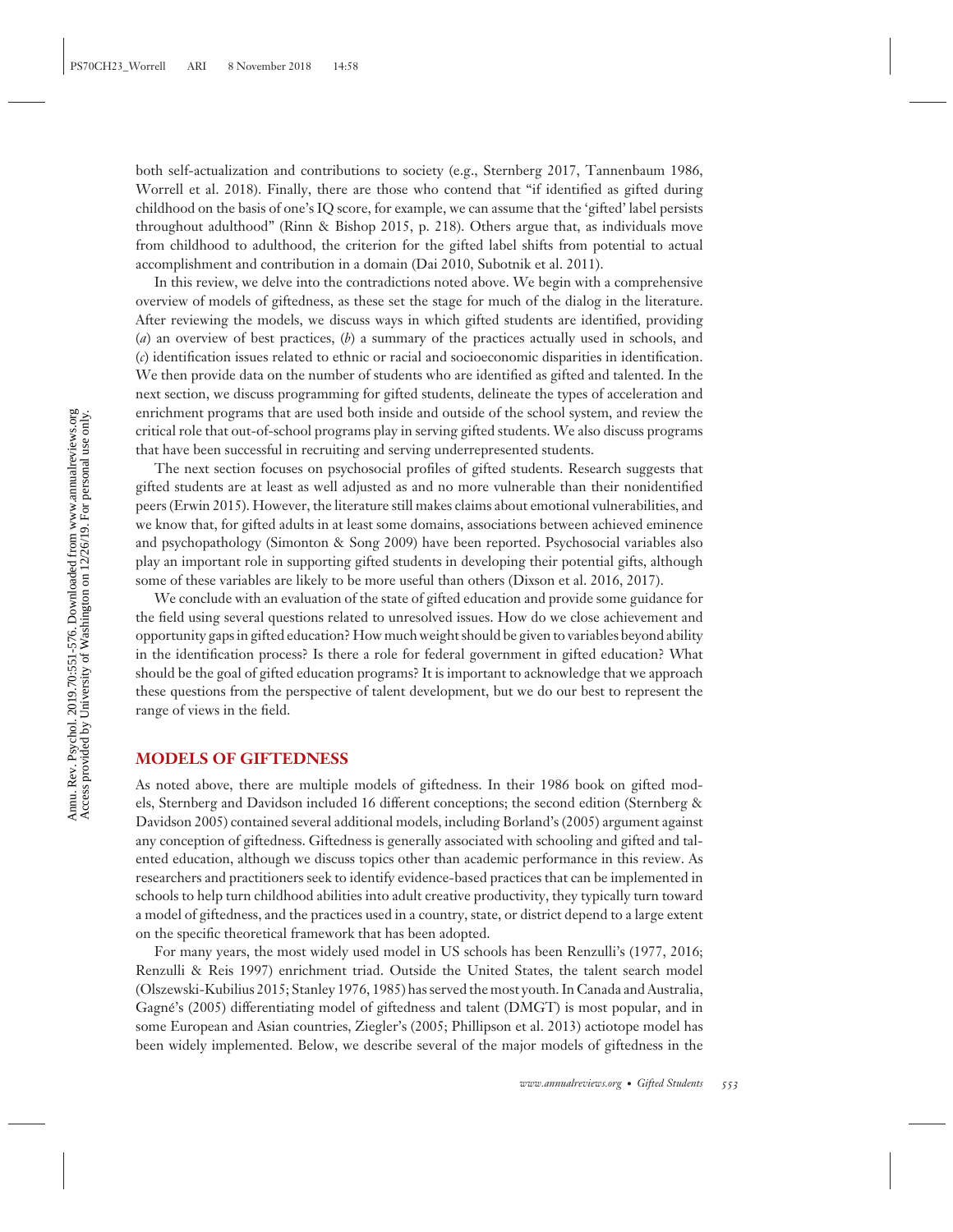both self-actualization and contributions to society (e.g., Sternberg 2017, Tannenbaum 1986, Worrell et al. 2018). Finally, there are those who contend that "if identified as gifted during childhood on the basis of one's IQ score, for example, we can assume that the 'gifted' label persists throughout adulthood" (Rinn & Bishop 2015, p. 218). Others argue that, as individuals move from childhood to adulthood, the criterion for the gifted label shifts from potential to actual accomplishment and contribution in a domain (Dai 2010, Subotnik et al. 2011).

In this review, we delve into the contradictions noted above. We begin with a comprehensive overview of models of giftedness, as these set the stage for much of the dialog in the literature. After reviewing the models, we discuss ways in which gifted students are identified, providing (*a*) an overview of best practices, (*b*) a summary of the practices actually used in schools, and (*c*) identification issues related to ethnic or racial and socioeconomic disparities in identification. We then provide data on the number of students who are identified as gifted and talented. In the next section, we discuss programming for gifted students, delineate the types of acceleration and enrichment programs that are used both inside and outside of the school system, and review the critical role that out-of-school programs play in serving gifted students. We also discuss programs that have been successful in recruiting and serving underrepresented students.

The next section focuses on psychosocial profiles of gifted students. Research suggests that gifted students are at least as well adjusted as and no more vulnerable than their nonidentified peers (Erwin 2015). However, the literature still makes claims about emotional vulnerabilities, and we know that, for gifted adults in at least some domains, associations between achieved eminence and psychopathology (Simonton & Song 2009) have been reported. Psychosocial variables also play an important role in supporting gifted students in developing their potential gifts, although some of these variables are likely to be more useful than others (Dixson et al. 2016, 2017).

We conclude with an evaluation of the state of gifted education and provide some guidance for the field using several questions related to unresolved issues. How do we close achievement and opportunity gaps in gifted education? How much weight should be given to variables beyond ability in the identification process? Is there a role for federal government in gifted education? What should be the goal of gifted education programs? It is important to acknowledge that we approach these questions from the perspective of talent development, but we do our best to represent the range of views in the field.

#### **MODELS OF GIFTEDNESS**

As noted above, there are multiple models of giftedness. In their 1986 book on gifted models, Sternberg and Davidson included 16 different conceptions; the second edition (Sternberg & Davidson 2005) contained several additional models, including Borland's (2005) argument against any conception of giftedness. Giftedness is generally associated with schooling and gifted and talented education, although we discuss topics other than academic performance in this review. As researchers and practitioners seek to identify evidence-based practices that can be implemented in schools to help turn childhood abilities into adult creative productivity, they typically turn toward a model of giftedness, and the practices used in a country, state, or district depend to a large extent on the specific theoretical framework that has been adopted.

For many years, the most widely used model in US schools has been Renzulli's (1977, 2016; Renzulli & Reis 1997) enrichment triad. Outside the United States, the talent search model (Olszewski-Kubilius 2015; Stanley 1976, 1985) has served the most youth. In Canada and Australia, Gagne's (2005) differentiating model of giftedness and talent (DMGT) is most popular, and in ´ some European and Asian countries, Ziegler's (2005; Phillipson et al. 2013) actiotope model has been widely implemented. Below, we describe several of the major models of giftedness in the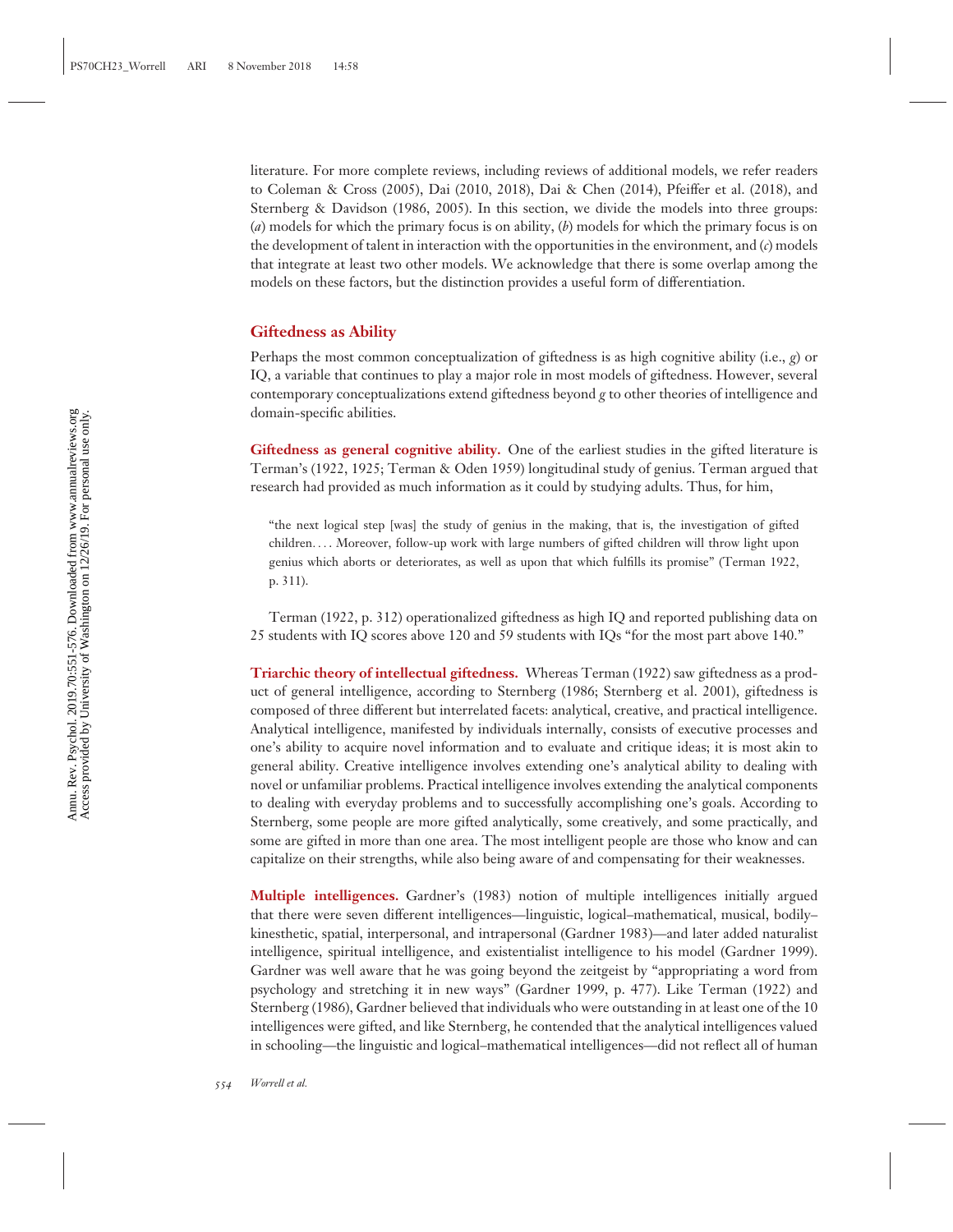literature. For more complete reviews, including reviews of additional models, we refer readers to Coleman & Cross (2005), Dai (2010, 2018), Dai & Chen (2014), Pfeiffer et al. (2018), and Sternberg & Davidson (1986, 2005). In this section, we divide the models into three groups: (*a*) models for which the primary focus is on ability, (*b*) models for which the primary focus is on the development of talent in interaction with the opportunities in the environment, and (*c*) models that integrate at least two other models. We acknowledge that there is some overlap among the models on these factors, but the distinction provides a useful form of differentiation.

#### **Giftedness as Ability**

Perhaps the most common conceptualization of giftedness is as high cognitive ability (i.e., *g*) or IQ, a variable that continues to play a major role in most models of giftedness. However, several contemporary conceptualizations extend giftedness beyond *g* to other theories of intelligence and domain-specific abilities.

**Giftedness as general cognitive ability.** One of the earliest studies in the gifted literature is Terman's (1922, 1925; Terman & Oden 1959) longitudinal study of genius. Terman argued that research had provided as much information as it could by studying adults. Thus, for him,

"the next logical step [was] the study of genius in the making, that is, the investigation of gifted children*...* . Moreover, follow-up work with large numbers of gifted children will throw light upon genius which aborts or deteriorates, as well as upon that which fulfills its promise" (Terman 1922, p. 311).

Terman (1922, p. 312) operationalized giftedness as high IQ and reported publishing data on 25 students with IQ scores above 120 and 59 students with IQs "for the most part above 140."

**Triarchic theory of intellectual giftedness.** Whereas Terman (1922) saw giftedness as a product of general intelligence, according to Sternberg (1986; Sternberg et al. 2001), giftedness is composed of three different but interrelated facets: analytical, creative, and practical intelligence. Analytical intelligence, manifested by individuals internally, consists of executive processes and one's ability to acquire novel information and to evaluate and critique ideas; it is most akin to general ability. Creative intelligence involves extending one's analytical ability to dealing with novel or unfamiliar problems. Practical intelligence involves extending the analytical components to dealing with everyday problems and to successfully accomplishing one's goals. According to Sternberg, some people are more gifted analytically, some creatively, and some practically, and some are gifted in more than one area. The most intelligent people are those who know and can capitalize on their strengths, while also being aware of and compensating for their weaknesses.

**Multiple intelligences.** Gardner's (1983) notion of multiple intelligences initially argued that there were seven different intelligences—linguistic, logical–mathematical, musical, bodily– kinesthetic, spatial, interpersonal, and intrapersonal (Gardner 1983)—and later added naturalist intelligence, spiritual intelligence, and existentialist intelligence to his model (Gardner 1999). Gardner was well aware that he was going beyond the zeitgeist by "appropriating a word from psychology and stretching it in new ways" (Gardner 1999, p. 477). Like Terman (1922) and Sternberg (1986), Gardner believed that individuals who were outstanding in at least one of the 10 intelligences were gifted, and like Sternberg, he contended that the analytical intelligences valued in schooling—the linguistic and logical–mathematical intelligences—did not reflect all of human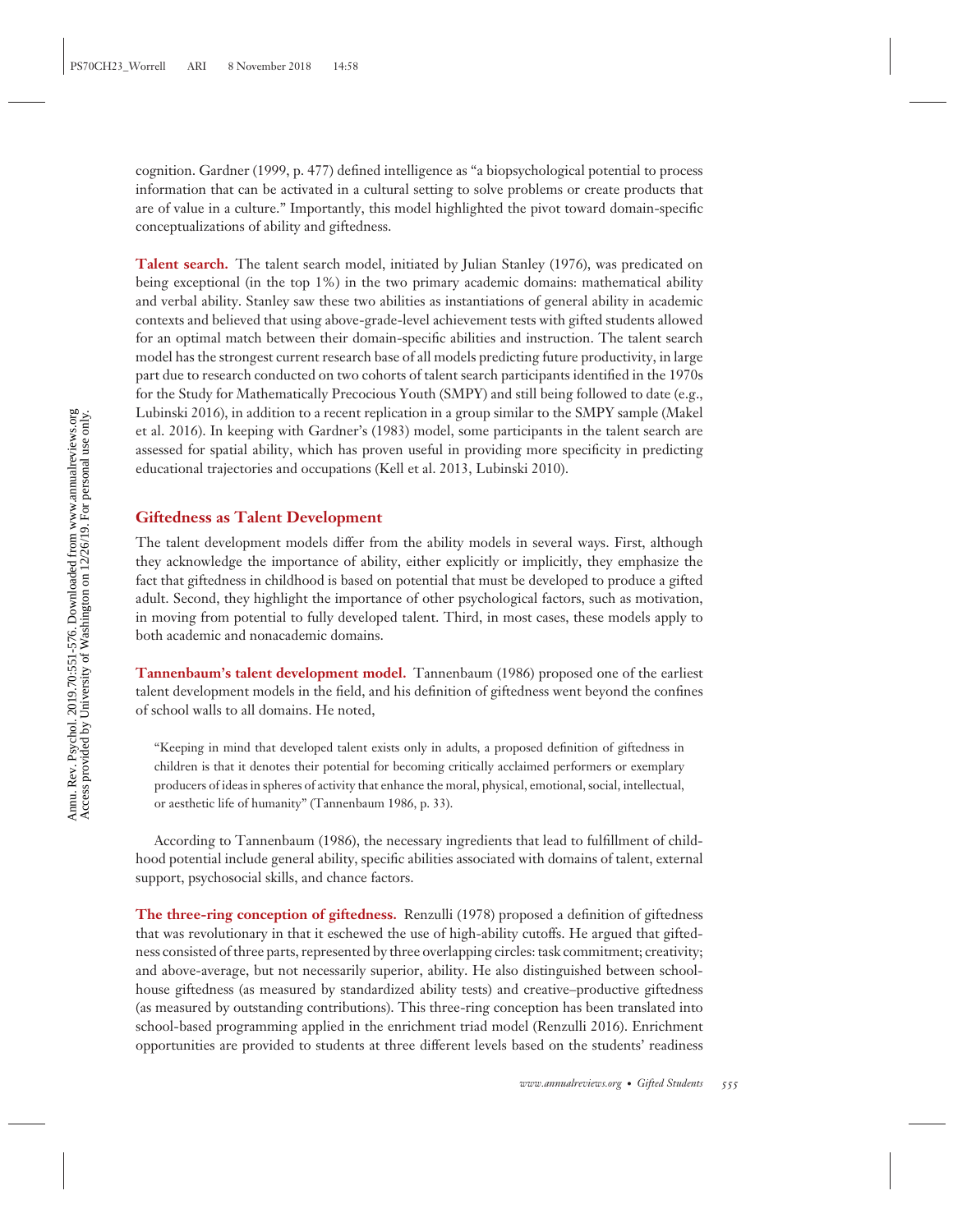cognition. Gardner (1999, p. 477) defined intelligence as "a biopsychological potential to process information that can be activated in a cultural setting to solve problems or create products that are of value in a culture." Importantly, this model highlighted the pivot toward domain-specific conceptualizations of ability and giftedness.

**Talent search.** The talent search model, initiated by Julian Stanley (1976), was predicated on being exceptional (in the top 1%) in the two primary academic domains: mathematical ability and verbal ability. Stanley saw these two abilities as instantiations of general ability in academic contexts and believed that using above-grade-level achievement tests with gifted students allowed for an optimal match between their domain-specific abilities and instruction. The talent search model has the strongest current research base of all models predicting future productivity, in large part due to research conducted on two cohorts of talent search participants identified in the 1970s for the Study for Mathematically Precocious Youth (SMPY) and still being followed to date (e.g., Lubinski 2016), in addition to a recent replication in a group similar to the SMPY sample (Makel et al. 2016). In keeping with Gardner's (1983) model, some participants in the talent search are assessed for spatial ability, which has proven useful in providing more specificity in predicting educational trajectories and occupations (Kell et al. 2013, Lubinski 2010).

#### **Giftedness as Talent Development**

The talent development models differ from the ability models in several ways. First, although they acknowledge the importance of ability, either explicitly or implicitly, they emphasize the fact that giftedness in childhood is based on potential that must be developed to produce a gifted adult. Second, they highlight the importance of other psychological factors, such as motivation, in moving from potential to fully developed talent. Third, in most cases, these models apply to both academic and nonacademic domains.

**Tannenbaum's talent development model.** Tannenbaum (1986) proposed one of the earliest talent development models in the field, and his definition of giftedness went beyond the confines of school walls to all domains. He noted,

"Keeping in mind that developed talent exists only in adults, a proposed definition of giftedness in children is that it denotes their potential for becoming critically acclaimed performers or exemplary producers of ideas in spheres of activity that enhance the moral, physical, emotional, social, intellectual, or aesthetic life of humanity" (Tannenbaum 1986, p. 33).

According to Tannenbaum (1986), the necessary ingredients that lead to fulfillment of childhood potential include general ability, specific abilities associated with domains of talent, external support, psychosocial skills, and chance factors.

**The three-ring conception of giftedness.** Renzulli (1978) proposed a definition of giftedness that was revolutionary in that it eschewed the use of high-ability cutoffs. He argued that giftedness consisted of three parts, represented by three overlapping circles: task commitment; creativity; and above-average, but not necessarily superior, ability. He also distinguished between schoolhouse giftedness (as measured by standardized ability tests) and creative–productive giftedness (as measured by outstanding contributions). This three-ring conception has been translated into school-based programming applied in the enrichment triad model (Renzulli 2016). Enrichment opportunities are provided to students at three different levels based on the students' readiness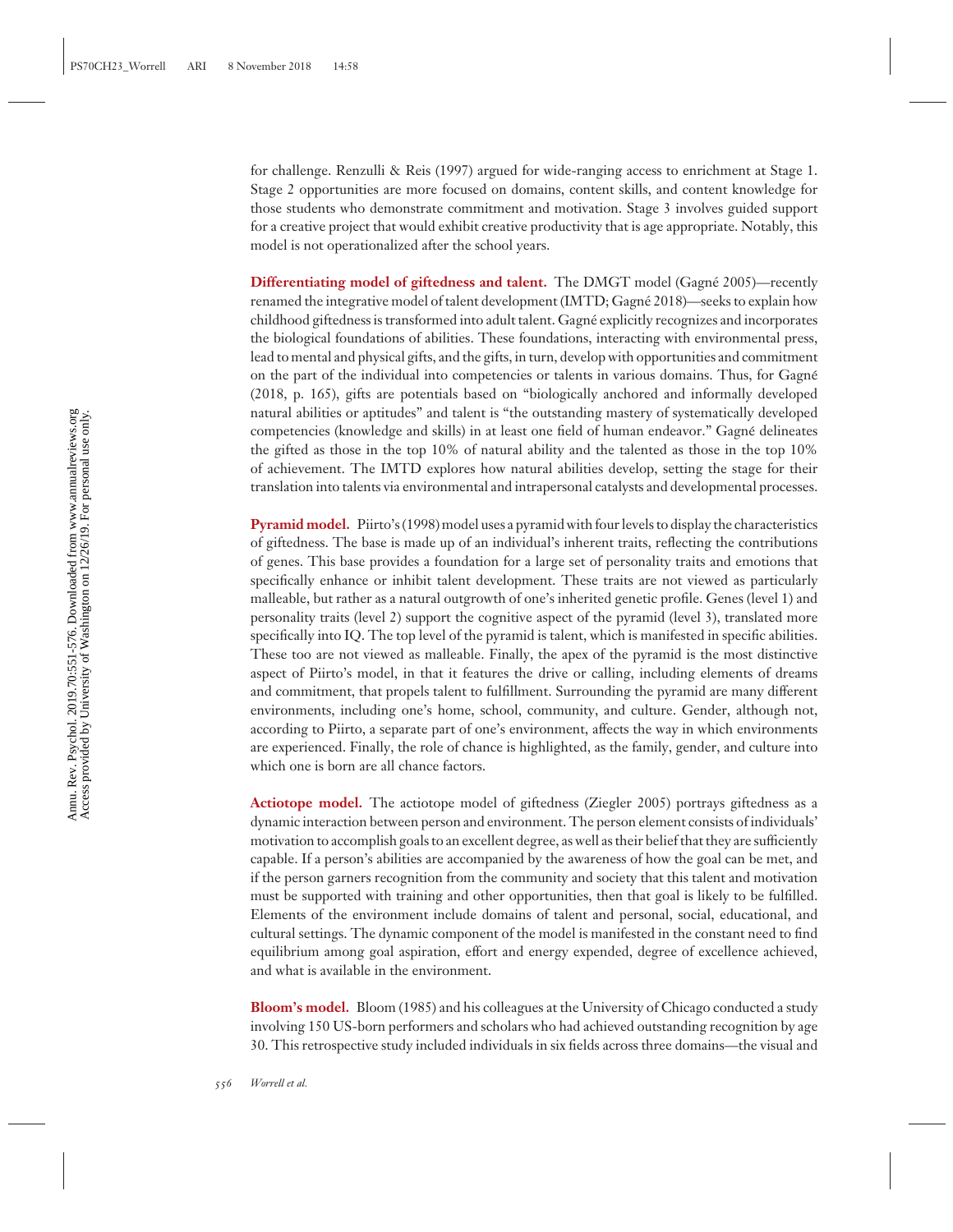for challenge. Renzulli & Reis (1997) argued for wide-ranging access to enrichment at Stage 1. Stage 2 opportunities are more focused on domains, content skills, and content knowledge for those students who demonstrate commitment and motivation. Stage 3 involves guided support for a creative project that would exhibit creative productivity that is age appropriate. Notably, this model is not operationalized after the school years.

**Differentiating model of giftedness and talent.** The DMGT model (Gagné 2005)—recently renamed the integrative model of talent development (IMTD; Gagne 2018)—seeks to explain how ´ childhood giftedness is transformed into adult talent. Gagne explicitly recognizes and incorporates ´ the biological foundations of abilities. These foundations, interacting with environmental press, lead to mental and physical gifts, and the gifts, in turn, develop with opportunities and commitment on the part of the individual into competencies or talents in various domains. Thus, for Gagné (2018, p. 165), gifts are potentials based on "biologically anchored and informally developed natural abilities or aptitudes" and talent is "the outstanding mastery of systematically developed competencies (knowledge and skills) in at least one field of human endeavor." Gagne delineates ´ the gifted as those in the top 10% of natural ability and the talented as those in the top 10% of achievement. The IMTD explores how natural abilities develop, setting the stage for their translation into talents via environmental and intrapersonal catalysts and developmental processes.

**Pyramid model.** Piirto's (1998) model uses a pyramid with four levels to display the characteristics of giftedness. The base is made up of an individual's inherent traits, reflecting the contributions of genes. This base provides a foundation for a large set of personality traits and emotions that specifically enhance or inhibit talent development. These traits are not viewed as particularly malleable, but rather as a natural outgrowth of one's inherited genetic profile. Genes (level 1) and personality traits (level 2) support the cognitive aspect of the pyramid (level 3), translated more specifically into IQ. The top level of the pyramid is talent, which is manifested in specific abilities. These too are not viewed as malleable. Finally, the apex of the pyramid is the most distinctive aspect of Piirto's model, in that it features the drive or calling, including elements of dreams and commitment, that propels talent to fulfillment. Surrounding the pyramid are many different environments, including one's home, school, community, and culture. Gender, although not, according to Piirto, a separate part of one's environment, affects the way in which environments are experienced. Finally, the role of chance is highlighted, as the family, gender, and culture into which one is born are all chance factors.

Actiotope model. The actiotope model of giftedness (Ziegler 2005) portrays giftedness as a dynamic interaction between person and environment. The person element consists of individuals' motivation to accomplish goals to an excellent degree, as well as their belief that they are sufficiently capable. If a person's abilities are accompanied by the awareness of how the goal can be met, and if the person garners recognition from the community and society that this talent and motivation must be supported with training and other opportunities, then that goal is likely to be fulfilled. Elements of the environment include domains of talent and personal, social, educational, and cultural settings. The dynamic component of the model is manifested in the constant need to find equilibrium among goal aspiration, effort and energy expended, degree of excellence achieved, and what is available in the environment.

**Bloom's model.** Bloom (1985) and his colleagues at the University of Chicago conducted a study involving 150 US-born performers and scholars who had achieved outstanding recognition by age 30. This retrospective study included individuals in six fields across three domains—the visual and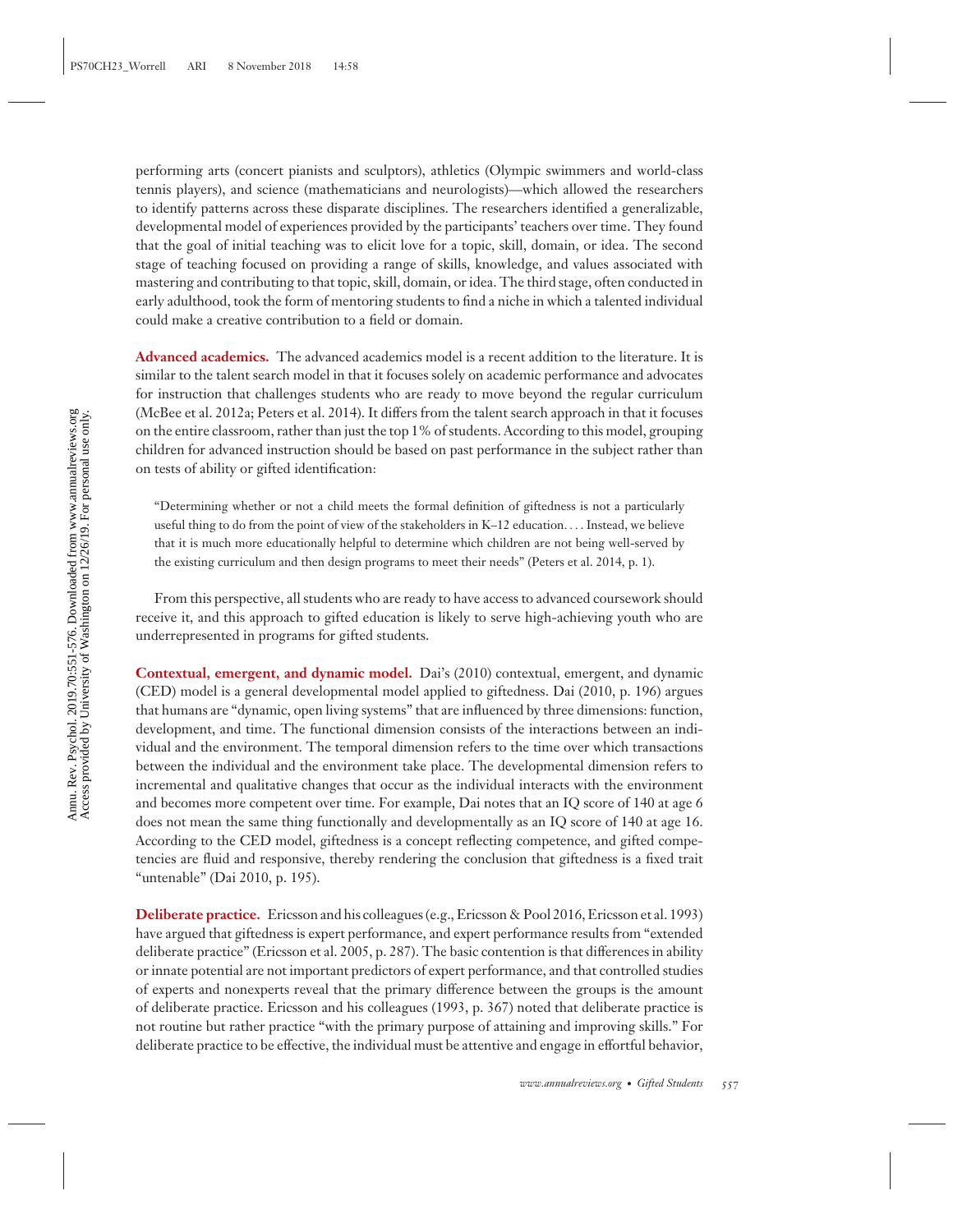performing arts (concert pianists and sculptors), athletics (Olympic swimmers and world-class tennis players), and science (mathematicians and neurologists)—which allowed the researchers to identify patterns across these disparate disciplines. The researchers identified a generalizable, developmental model of experiences provided by the participants' teachers over time. They found that the goal of initial teaching was to elicit love for a topic, skill, domain, or idea. The second stage of teaching focused on providing a range of skills, knowledge, and values associated with mastering and contributing to that topic, skill, domain, or idea. The third stage, often conducted in early adulthood, took the form of mentoring students to find a niche in which a talented individual could make a creative contribution to a field or domain.

**Advanced academics.** The advanced academics model is a recent addition to the literature. It is similar to the talent search model in that it focuses solely on academic performance and advocates for instruction that challenges students who are ready to move beyond the regular curriculum (McBee et al. 2012a; Peters et al. 2014). It differs from the talent search approach in that it focuses on the entire classroom, rather than just the top 1% of students. According to this model, grouping children for advanced instruction should be based on past performance in the subject rather than on tests of ability or gifted identification:

"Determining whether or not a child meets the formal definition of giftedness is not a particularly useful thing to do from the point of view of the stakeholders in K–12 education*...* . Instead, we believe that it is much more educationally helpful to determine which children are not being well-served by the existing curriculum and then design programs to meet their needs" (Peters et al. 2014, p. 1).

From this perspective, all students who are ready to have access to advanced coursework should receive it, and this approach to gifted education is likely to serve high-achieving youth who are underrepresented in programs for gifted students.

**Contextual, emergent, and dynamic model.** Dai's (2010) contextual, emergent, and dynamic (CED) model is a general developmental model applied to giftedness. Dai (2010, p. 196) argues that humans are "dynamic, open living systems" that are influenced by three dimensions: function, development, and time. The functional dimension consists of the interactions between an individual and the environment. The temporal dimension refers to the time over which transactions between the individual and the environment take place. The developmental dimension refers to incremental and qualitative changes that occur as the individual interacts with the environment and becomes more competent over time. For example, Dai notes that an IQ score of 140 at age 6 does not mean the same thing functionally and developmentally as an IQ score of 140 at age 16. According to the CED model, giftedness is a concept reflecting competence, and gifted competencies are fluid and responsive, thereby rendering the conclusion that giftedness is a fixed trait "untenable" (Dai 2010, p. 195).

**Deliberate practice.** Ericsson and his colleagues (e.g., Ericsson & Pool 2016, Ericsson et al. 1993) have argued that giftedness is expert performance, and expert performance results from "extended deliberate practice" (Ericsson et al. 2005, p. 287). The basic contention is that differences in ability or innate potential are not important predictors of expert performance, and that controlled studies of experts and nonexperts reveal that the primary difference between the groups is the amount of deliberate practice. Ericsson and his colleagues (1993, p. 367) noted that deliberate practice is not routine but rather practice "with the primary purpose of attaining and improving skills." For deliberate practice to be effective, the individual must be attentive and engage in effortful behavior,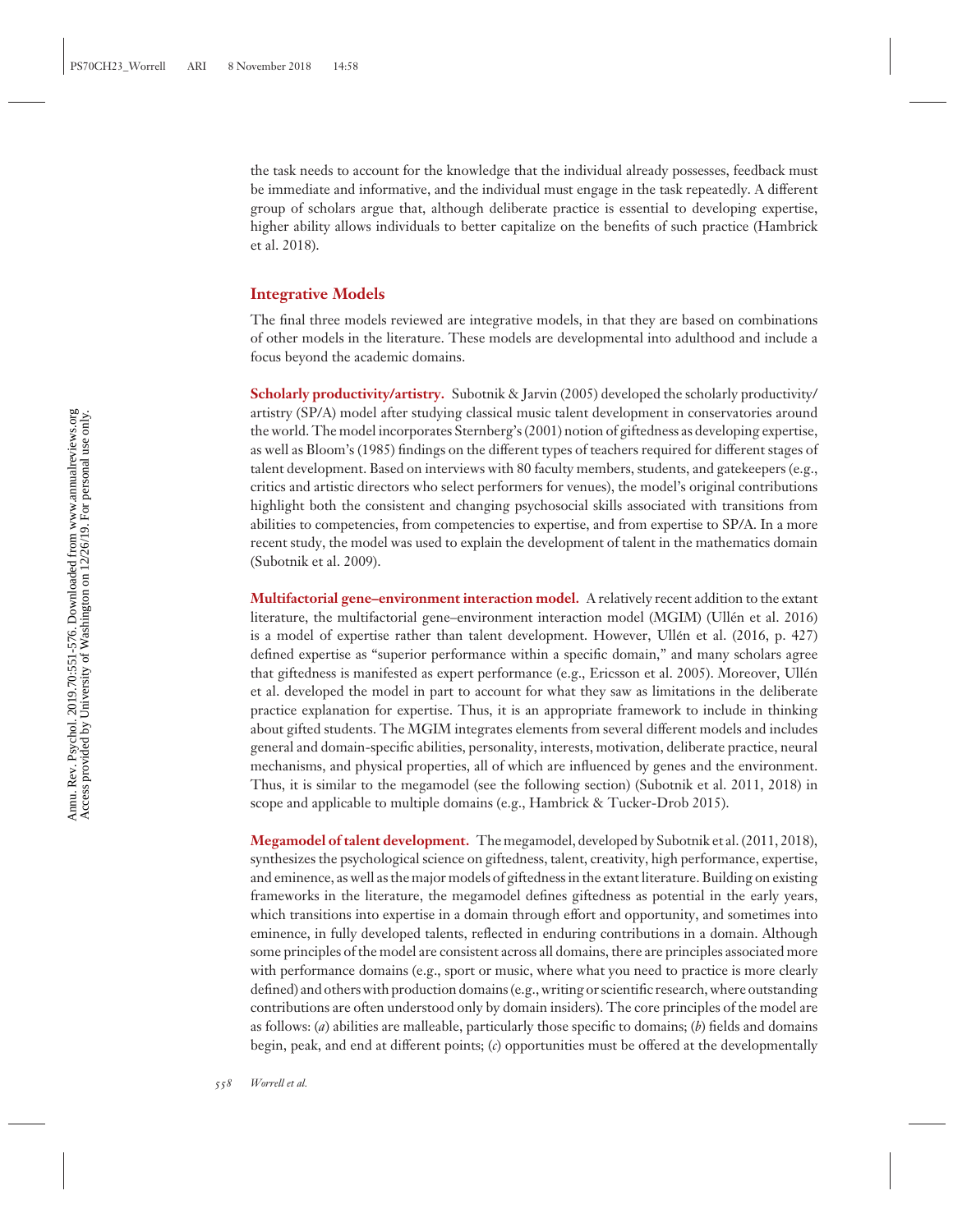the task needs to account for the knowledge that the individual already possesses, feedback must be immediate and informative, and the individual must engage in the task repeatedly. A different group of scholars argue that, although deliberate practice is essential to developing expertise, higher ability allows individuals to better capitalize on the benefits of such practice (Hambrick et al. 2018).

### **Integrative Models**

The final three models reviewed are integrative models, in that they are based on combinations of other models in the literature. These models are developmental into adulthood and include a focus beyond the academic domains.

**Scholarly productivity/artistry.** Subotnik & Jarvin (2005) developed the scholarly productivity/ artistry (SP/A) model after studying classical music talent development in conservatories around the world. The model incorporates Sternberg's (2001) notion of giftedness as developing expertise, as well as Bloom's (1985) findings on the different types of teachers required for different stages of talent development. Based on interviews with 80 faculty members, students, and gatekeepers (e.g., critics and artistic directors who select performers for venues), the model's original contributions highlight both the consistent and changing psychosocial skills associated with transitions from abilities to competencies, from competencies to expertise, and from expertise to SP/A. In a more recent study, the model was used to explain the development of talent in the mathematics domain (Subotnik et al. 2009).

**Multifactorial gene–environment interaction model.** A relatively recent addition to the extant literature, the multifactorial gene–environment interaction model (MGIM) (Ullén et al. 2016) is a model of expertise rather than talent development. However, Ullén et al. (2016, p. 427) defined expertise as "superior performance within a specific domain," and many scholars agree that giftedness is manifested as expert performance (e.g., Ericsson et al. 2005). Moreover, Ullen´ et al. developed the model in part to account for what they saw as limitations in the deliberate practice explanation for expertise. Thus, it is an appropriate framework to include in thinking about gifted students. The MGIM integrates elements from several different models and includes general and domain-specific abilities, personality, interests, motivation, deliberate practice, neural mechanisms, and physical properties, all of which are influenced by genes and the environment. Thus, it is similar to the megamodel (see the following section) (Subotnik et al. 2011, 2018) in scope and applicable to multiple domains (e.g., Hambrick & Tucker-Drob 2015).

**Megamodel of talent development.** The megamodel, developed by Subotnik et al. (2011, 2018), synthesizes the psychological science on giftedness, talent, creativity, high performance, expertise, and eminence, as well as the major models of giftedness in the extant literature. Building on existing frameworks in the literature, the megamodel defines giftedness as potential in the early years, which transitions into expertise in a domain through effort and opportunity, and sometimes into eminence, in fully developed talents, reflected in enduring contributions in a domain. Although some principles of the model are consistent across all domains, there are principles associated more with performance domains (e.g., sport or music, where what you need to practice is more clearly defined) and others with production domains (e.g., writing or scientific research, where outstanding contributions are often understood only by domain insiders). The core principles of the model are as follows: (*a*) abilities are malleable, particularly those specific to domains; (*b*) fields and domains begin, peak, and end at different points; (*c*) opportunities must be offered at the developmentally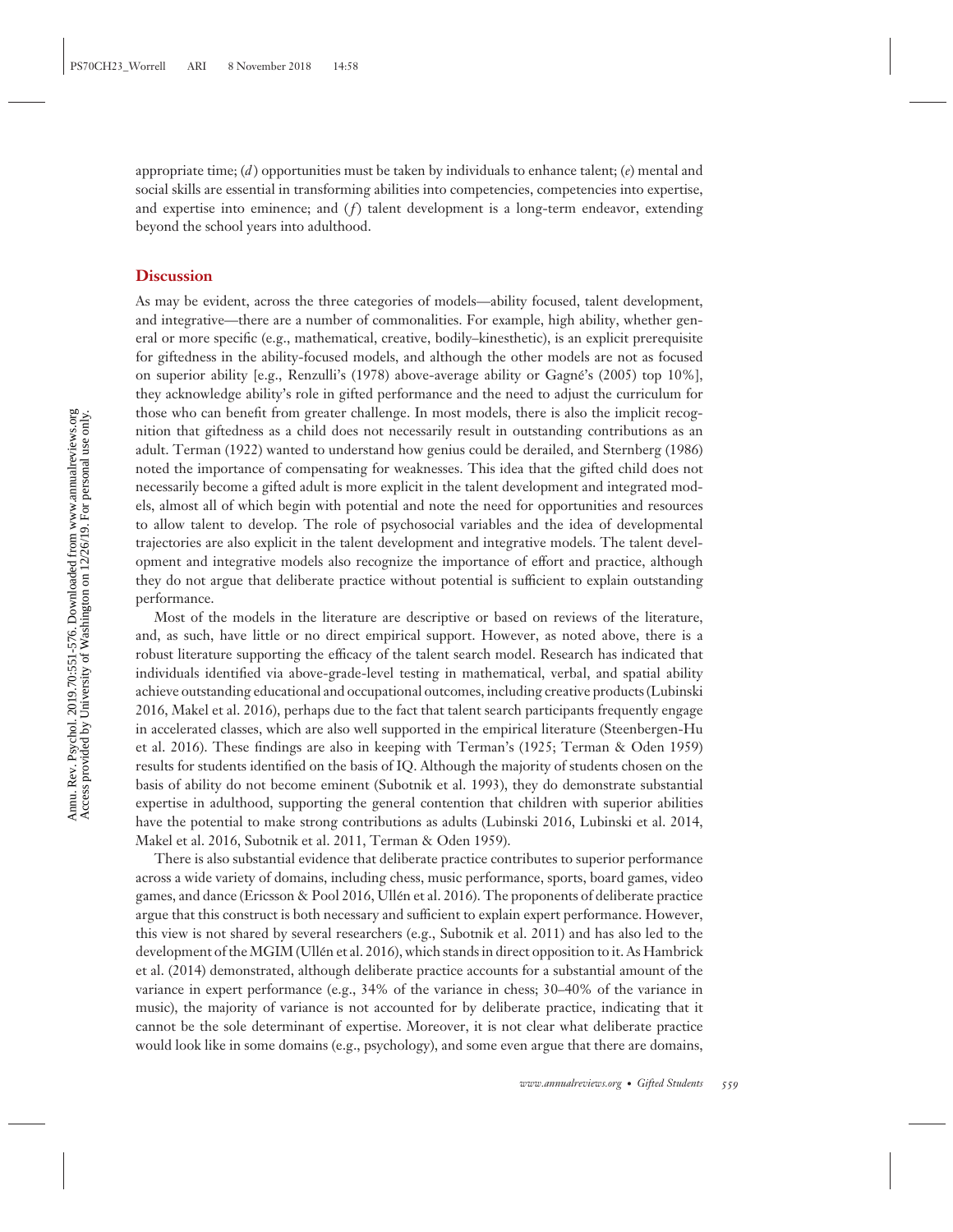appropriate time; (*d* ) opportunities must be taken by individuals to enhance talent; (*e*) mental and social skills are essential in transforming abilities into competencies, competencies into expertise, and expertise into eminence; and  $(f)$  talent development is a long-term endeavor, extending beyond the school years into adulthood.

#### **Discussion**

As may be evident, across the three categories of models—ability focused, talent development, and integrative—there are a number of commonalities. For example, high ability, whether general or more specific (e.g., mathematical, creative, bodily–kinesthetic), is an explicit prerequisite for giftedness in the ability-focused models, and although the other models are not as focused on superior ability [e.g., Renzulli's (1978) above-average ability or Gagne's (2005) top 10%], ´ they acknowledge ability's role in gifted performance and the need to adjust the curriculum for those who can benefit from greater challenge. In most models, there is also the implicit recognition that giftedness as a child does not necessarily result in outstanding contributions as an adult. Terman (1922) wanted to understand how genius could be derailed, and Sternberg (1986) noted the importance of compensating for weaknesses. This idea that the gifted child does not necessarily become a gifted adult is more explicit in the talent development and integrated models, almost all of which begin with potential and note the need for opportunities and resources to allow talent to develop. The role of psychosocial variables and the idea of developmental trajectories are also explicit in the talent development and integrative models. The talent development and integrative models also recognize the importance of effort and practice, although they do not argue that deliberate practice without potential is sufficient to explain outstanding performance.

Most of the models in the literature are descriptive or based on reviews of the literature, and, as such, have little or no direct empirical support. However, as noted above, there is a robust literature supporting the efficacy of the talent search model. Research has indicated that individuals identified via above-grade-level testing in mathematical, verbal, and spatial ability achieve outstanding educational and occupational outcomes, including creative products (Lubinski 2016, Makel et al. 2016), perhaps due to the fact that talent search participants frequently engage in accelerated classes, which are also well supported in the empirical literature (Steenbergen-Hu et al. 2016). These findings are also in keeping with Terman's (1925; Terman & Oden 1959) results for students identified on the basis of IQ. Although the majority of students chosen on the basis of ability do not become eminent (Subotnik et al. 1993), they do demonstrate substantial expertise in adulthood, supporting the general contention that children with superior abilities have the potential to make strong contributions as adults (Lubinski 2016, Lubinski et al. 2014, Makel et al. 2016, Subotnik et al. 2011, Terman & Oden 1959).

There is also substantial evidence that deliberate practice contributes to superior performance across a wide variety of domains, including chess, music performance, sports, board games, video games, and dance (Ericsson & Pool 2016, Ullen et al. 2016). The proponents of deliberate practice ´ argue that this construct is both necessary and sufficient to explain expert performance. However, this view is not shared by several researchers (e.g., Subotnik et al. 2011) and has also led to the development of the MGIM (Ullén et al. 2016), which stands in direct opposition to it. As Hambrick et al. (2014) demonstrated, although deliberate practice accounts for a substantial amount of the variance in expert performance (e.g., 34% of the variance in chess; 30–40% of the variance in music), the majority of variance is not accounted for by deliberate practice, indicating that it cannot be the sole determinant of expertise. Moreover, it is not clear what deliberate practice would look like in some domains (e.g., psychology), and some even argue that there are domains,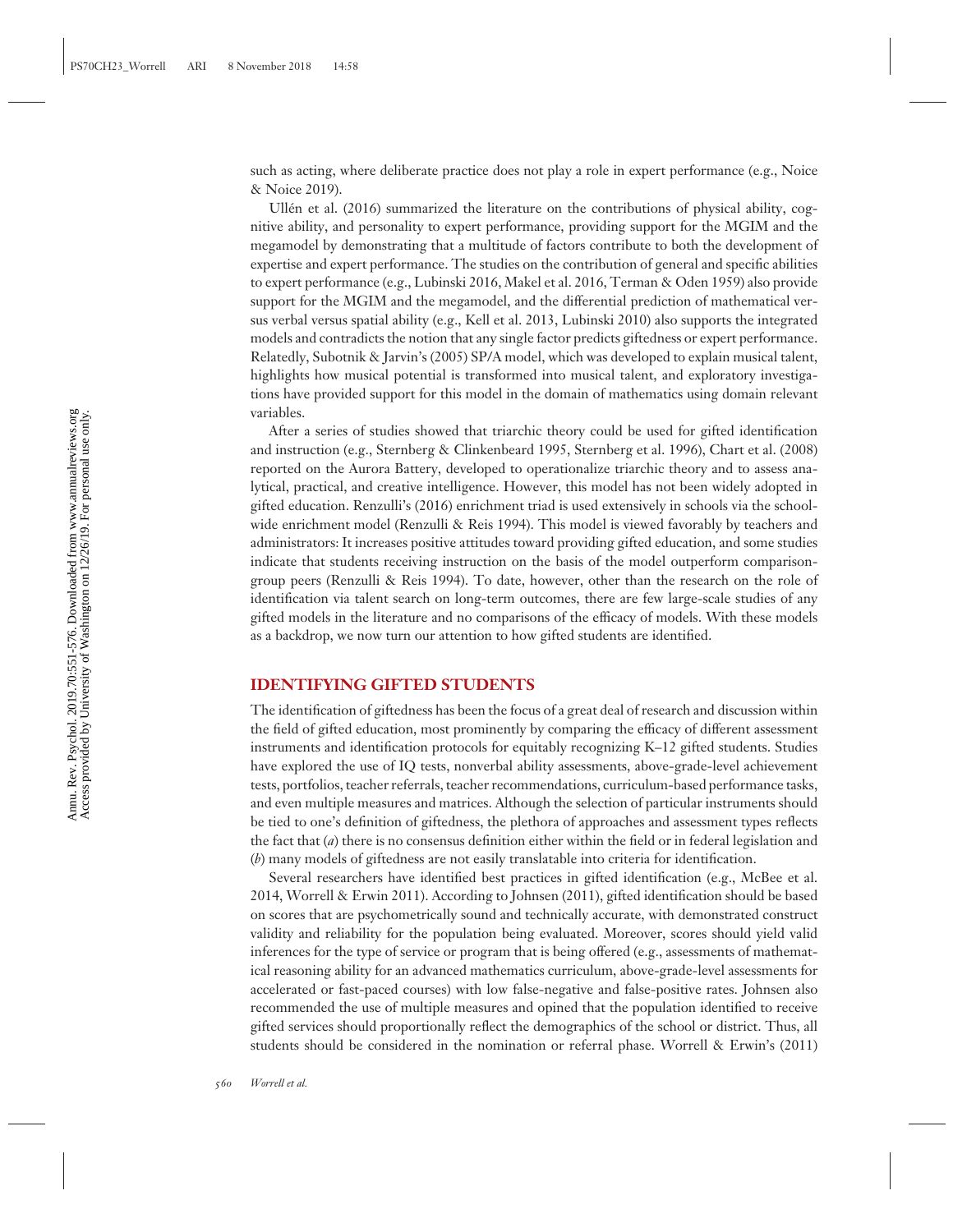such as acting, where deliberate practice does not play a role in expert performance (e.g., Noice & Noice 2019).

Ullén et al. (2016) summarized the literature on the contributions of physical ability, cognitive ability, and personality to expert performance, providing support for the MGIM and the megamodel by demonstrating that a multitude of factors contribute to both the development of expertise and expert performance. The studies on the contribution of general and specific abilities to expert performance (e.g., Lubinski 2016, Makel et al. 2016, Terman & Oden 1959) also provide support for the MGIM and the megamodel, and the differential prediction of mathematical versus verbal versus spatial ability (e.g., Kell et al. 2013, Lubinski 2010) also supports the integrated models and contradicts the notion that any single factor predicts giftedness or expert performance. Relatedly, Subotnik & Jarvin's (2005) SP/A model, which was developed to explain musical talent, highlights how musical potential is transformed into musical talent, and exploratory investigations have provided support for this model in the domain of mathematics using domain relevant variables.

After a series of studies showed that triarchic theory could be used for gifted identification and instruction (e.g., Sternberg & Clinkenbeard 1995, Sternberg et al. 1996), Chart et al. (2008) reported on the Aurora Battery, developed to operationalize triarchic theory and to assess analytical, practical, and creative intelligence. However, this model has not been widely adopted in gifted education. Renzulli's (2016) enrichment triad is used extensively in schools via the schoolwide enrichment model (Renzulli & Reis 1994). This model is viewed favorably by teachers and administrators: It increases positive attitudes toward providing gifted education, and some studies indicate that students receiving instruction on the basis of the model outperform comparisongroup peers (Renzulli & Reis 1994). To date, however, other than the research on the role of identification via talent search on long-term outcomes, there are few large-scale studies of any gifted models in the literature and no comparisons of the efficacy of models. With these models as a backdrop, we now turn our attention to how gifted students are identified.

#### **IDENTIFYING GIFTED STUDENTS**

The identification of giftedness has been the focus of a great deal of research and discussion within the field of gifted education, most prominently by comparing the efficacy of different assessment instruments and identification protocols for equitably recognizing K–12 gifted students. Studies have explored the use of IQ tests, nonverbal ability assessments, above-grade-level achievement tests, portfolios, teacher referrals, teacher recommendations, curriculum-based performance tasks, and even multiple measures and matrices. Although the selection of particular instruments should be tied to one's definition of giftedness, the plethora of approaches and assessment types reflects the fact that (*a*) there is no consensus definition either within the field or in federal legislation and (*b*) many models of giftedness are not easily translatable into criteria for identification.

Several researchers have identified best practices in gifted identification (e.g., McBee et al. 2014, Worrell & Erwin 2011). According to Johnsen (2011), gifted identification should be based on scores that are psychometrically sound and technically accurate, with demonstrated construct validity and reliability for the population being evaluated. Moreover, scores should yield valid inferences for the type of service or program that is being offered (e.g., assessments of mathematical reasoning ability for an advanced mathematics curriculum, above-grade-level assessments for accelerated or fast-paced courses) with low false-negative and false-positive rates. Johnsen also recommended the use of multiple measures and opined that the population identified to receive gifted services should proportionally reflect the demographics of the school or district. Thus, all students should be considered in the nomination or referral phase. Worrell & Erwin's (2011)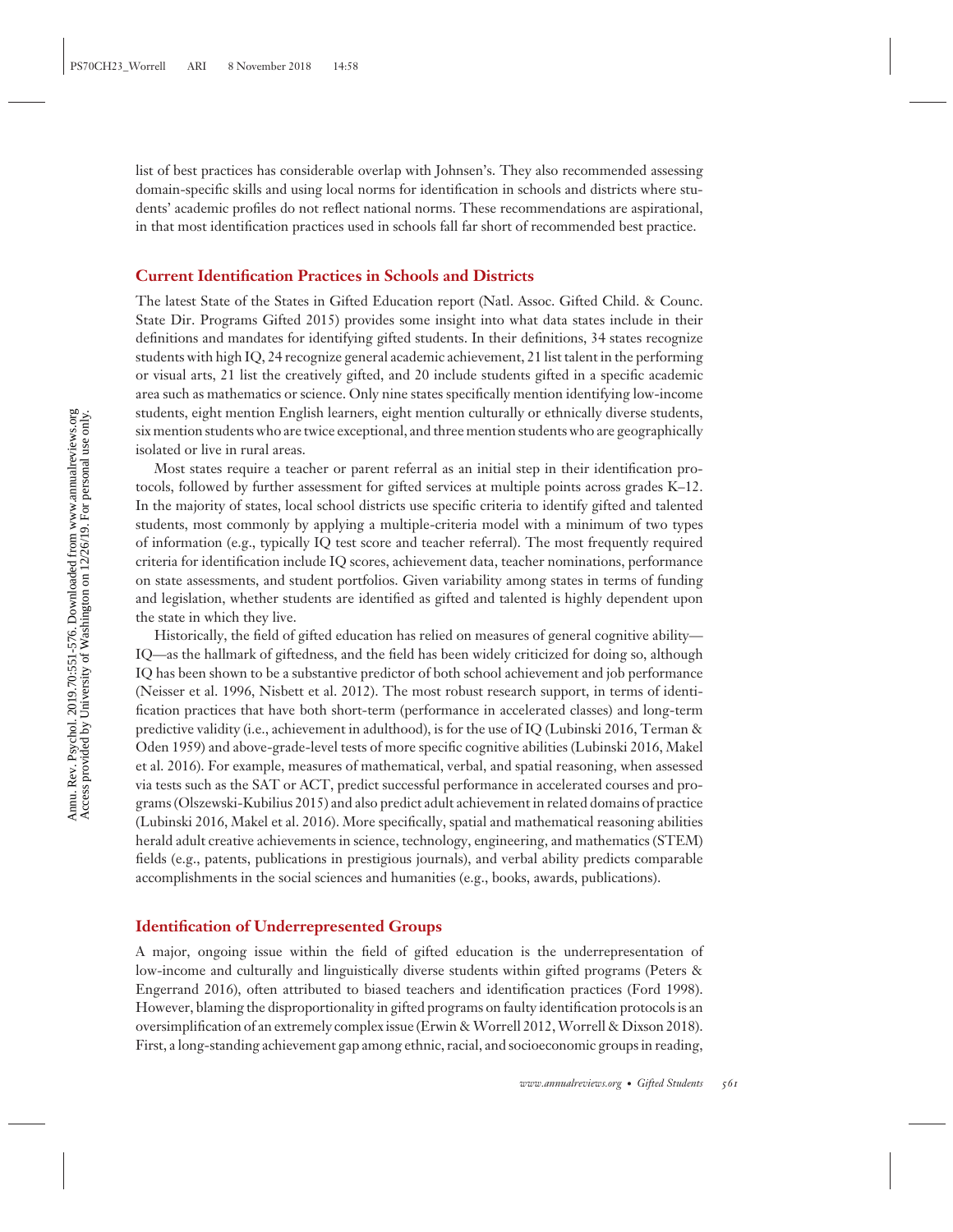list of best practices has considerable overlap with Johnsen's. They also recommended assessing domain-specific skills and using local norms for identification in schools and districts where students' academic profiles do not reflect national norms. These recommendations are aspirational, in that most identification practices used in schools fall far short of recommended best practice.

#### **Current Identification Practices in Schools and Districts**

The latest State of the States in Gifted Education report (Natl. Assoc. Gifted Child. & Counc. State Dir. Programs Gifted 2015) provides some insight into what data states include in their definitions and mandates for identifying gifted students. In their definitions, 34 states recognize students with high IQ, 24 recognize general academic achievement, 21 list talent in the performing or visual arts, 21 list the creatively gifted, and 20 include students gifted in a specific academic area such as mathematics or science. Only nine states specifically mention identifying low-income students, eight mention English learners, eight mention culturally or ethnically diverse students, six mention students who are twice exceptional, and three mention students who are geographically isolated or live in rural areas.

Most states require a teacher or parent referral as an initial step in their identification protocols, followed by further assessment for gifted services at multiple points across grades K–12. In the majority of states, local school districts use specific criteria to identify gifted and talented students, most commonly by applying a multiple-criteria model with a minimum of two types of information (e.g., typically IQ test score and teacher referral). The most frequently required criteria for identification include IQ scores, achievement data, teacher nominations, performance on state assessments, and student portfolios. Given variability among states in terms of funding and legislation, whether students are identified as gifted and talented is highly dependent upon the state in which they live.

Historically, the field of gifted education has relied on measures of general cognitive ability— IQ—as the hallmark of giftedness, and the field has been widely criticized for doing so, although IQ has been shown to be a substantive predictor of both school achievement and job performance (Neisser et al. 1996, Nisbett et al. 2012). The most robust research support, in terms of identification practices that have both short-term (performance in accelerated classes) and long-term predictive validity (i.e., achievement in adulthood), is for the use of IQ (Lubinski 2016, Terman & Oden 1959) and above-grade-level tests of more specific cognitive abilities (Lubinski 2016, Makel et al. 2016). For example, measures of mathematical, verbal, and spatial reasoning, when assessed via tests such as the SAT or ACT, predict successful performance in accelerated courses and programs (Olszewski-Kubilius 2015) and also predict adult achievement in related domains of practice (Lubinski 2016, Makel et al. 2016). More specifically, spatial and mathematical reasoning abilities herald adult creative achievements in science, technology, engineering, and mathematics (STEM) fields (e.g., patents, publications in prestigious journals), and verbal ability predicts comparable accomplishments in the social sciences and humanities (e.g., books, awards, publications).

#### **Identification of Underrepresented Groups**

A major, ongoing issue within the field of gifted education is the underrepresentation of low-income and culturally and linguistically diverse students within gifted programs (Peters & Engerrand 2016), often attributed to biased teachers and identification practices (Ford 1998). However, blaming the disproportionality in gifted programs on faulty identification protocols is an oversimplification of an extremely complex issue (Erwin & Worrell 2012, Worrell & Dixson 2018). First, a long-standing achievement gap among ethnic, racial, and socioeconomic groups in reading,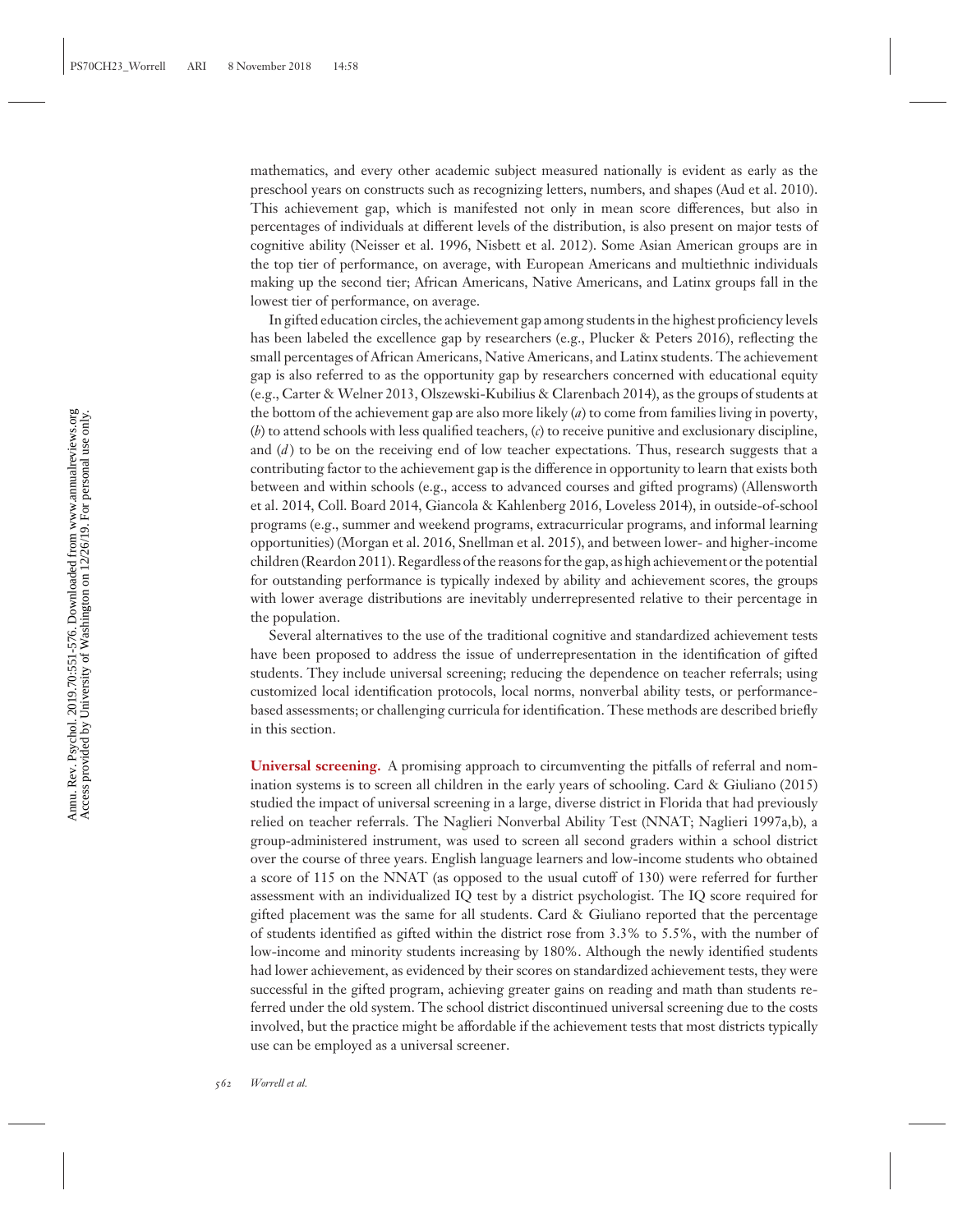mathematics, and every other academic subject measured nationally is evident as early as the preschool years on constructs such as recognizing letters, numbers, and shapes (Aud et al. 2010). This achievement gap, which is manifested not only in mean score differences, but also in percentages of individuals at different levels of the distribution, is also present on major tests of cognitive ability (Neisser et al. 1996, Nisbett et al. 2012). Some Asian American groups are in the top tier of performance, on average, with European Americans and multiethnic individuals making up the second tier; African Americans, Native Americans, and Latinx groups fall in the lowest tier of performance, on average.

In gifted education circles, the achievement gap among students in the highest proficiency levels has been labeled the excellence gap by researchers (e.g., Plucker & Peters 2016), reflecting the small percentages of African Americans, Native Americans, and Latinx students. The achievement gap is also referred to as the opportunity gap by researchers concerned with educational equity (e.g., Carter & Welner 2013, Olszewski-Kubilius & Clarenbach 2014), as the groups of students at the bottom of the achievement gap are also more likely (*a*) to come from families living in poverty, (*b*) to attend schools with less qualified teachers, (*c*) to receive punitive and exclusionary discipline, and (*d*) to be on the receiving end of low teacher expectations. Thus, research suggests that a contributing factor to the achievement gap is the difference in opportunity to learn that exists both between and within schools (e.g., access to advanced courses and gifted programs) (Allensworth et al. 2014, Coll. Board 2014, Giancola & Kahlenberg 2016, Loveless 2014), in outside-of-school programs (e.g., summer and weekend programs, extracurricular programs, and informal learning opportunities) (Morgan et al. 2016, Snellman et al. 2015), and between lower- and higher-income children (Reardon 2011). Regardless of the reasons for the gap, as high achievement or the potential for outstanding performance is typically indexed by ability and achievement scores, the groups with lower average distributions are inevitably underrepresented relative to their percentage in the population.

Several alternatives to the use of the traditional cognitive and standardized achievement tests have been proposed to address the issue of underrepresentation in the identification of gifted students. They include universal screening; reducing the dependence on teacher referrals; using customized local identification protocols, local norms, nonverbal ability tests, or performancebased assessments; or challenging curricula for identification. These methods are described briefly in this section.

**Universal screening.** A promising approach to circumventing the pitfalls of referral and nomination systems is to screen all children in the early years of schooling. Card & Giuliano (2015) studied the impact of universal screening in a large, diverse district in Florida that had previously relied on teacher referrals. The Naglieri Nonverbal Ability Test (NNAT; Naglieri 1997a,b), a group-administered instrument, was used to screen all second graders within a school district over the course of three years. English language learners and low-income students who obtained a score of 115 on the NNAT (as opposed to the usual cutoff of 130) were referred for further assessment with an individualized IQ test by a district psychologist. The IQ score required for gifted placement was the same for all students. Card & Giuliano reported that the percentage of students identified as gifted within the district rose from 3.3% to 5.5%, with the number of low-income and minority students increasing by 180%. Although the newly identified students had lower achievement, as evidenced by their scores on standardized achievement tests, they were successful in the gifted program, achieving greater gains on reading and math than students referred under the old system. The school district discontinued universal screening due to the costs involved, but the practice might be affordable if the achievement tests that most districts typically use can be employed as a universal screener.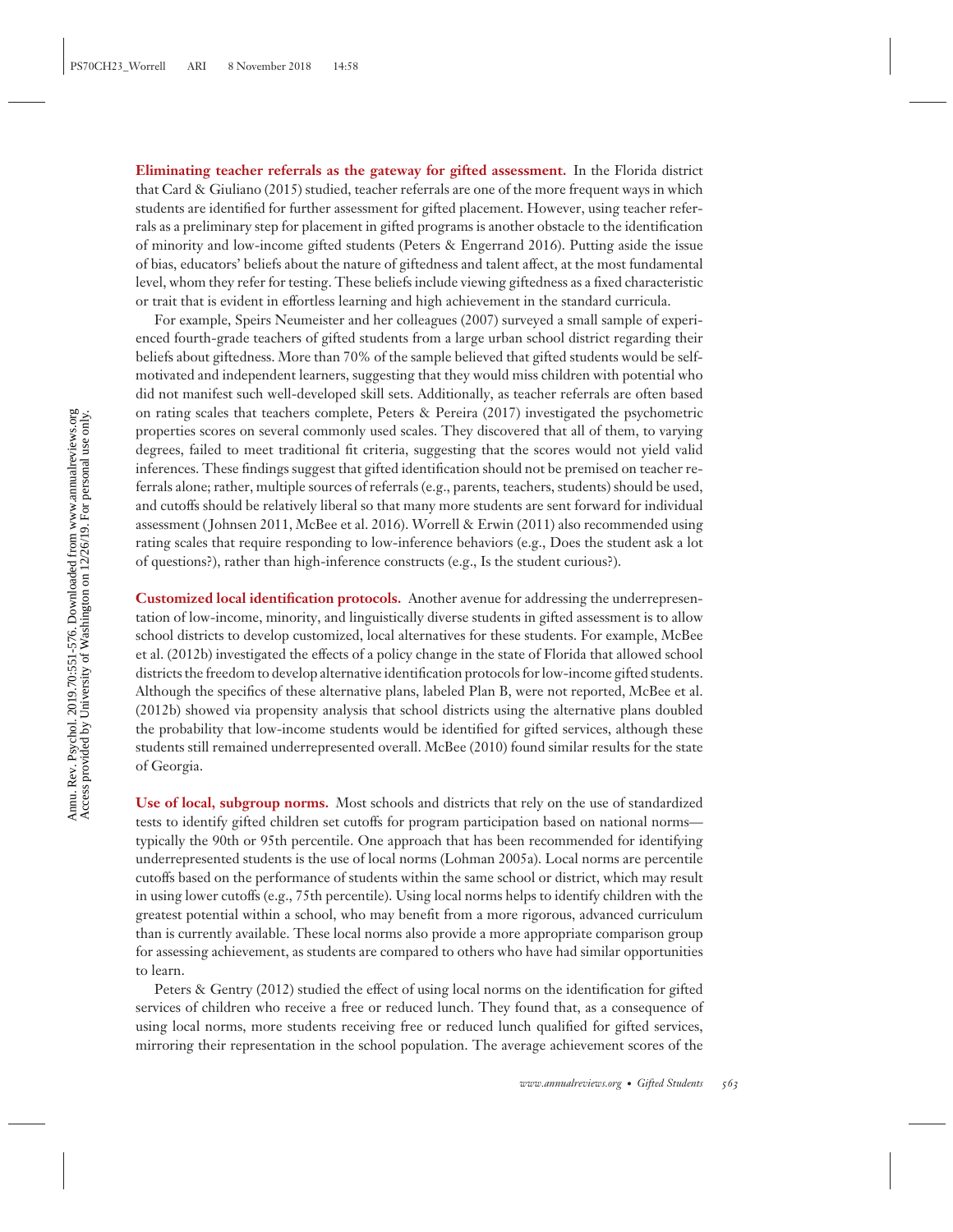**Eliminating teacher referrals as the gateway for gifted assessment.** In the Florida district that Card & Giuliano (2015) studied, teacher referrals are one of the more frequent ways in which students are identified for further assessment for gifted placement. However, using teacher referrals as a preliminary step for placement in gifted programs is another obstacle to the identification of minority and low-income gifted students (Peters & Engerrand 2016). Putting aside the issue of bias, educators' beliefs about the nature of giftedness and talent affect, at the most fundamental level, whom they refer for testing. These beliefs include viewing giftedness as a fixed characteristic or trait that is evident in effortless learning and high achievement in the standard curricula.

For example, Speirs Neumeister and her colleagues (2007) surveyed a small sample of experienced fourth-grade teachers of gifted students from a large urban school district regarding their beliefs about giftedness. More than 70% of the sample believed that gifted students would be selfmotivated and independent learners, suggesting that they would miss children with potential who did not manifest such well-developed skill sets. Additionally, as teacher referrals are often based on rating scales that teachers complete, Peters & Pereira (2017) investigated the psychometric properties scores on several commonly used scales. They discovered that all of them, to varying degrees, failed to meet traditional fit criteria, suggesting that the scores would not yield valid inferences. These findings suggest that gifted identification should not be premised on teacher referrals alone; rather, multiple sources of referrals (e.g., parents, teachers, students) should be used, and cutoffs should be relatively liberal so that many more students are sent forward for individual assessment ( Johnsen 2011, McBee et al. 2016). Worrell & Erwin (2011) also recommended using rating scales that require responding to low-inference behaviors (e.g., Does the student ask a lot of questions?), rather than high-inference constructs (e.g., Is the student curious?).

**Customized local identification protocols.** Another avenue for addressing the underrepresentation of low-income, minority, and linguistically diverse students in gifted assessment is to allow school districts to develop customized, local alternatives for these students. For example, McBee et al. (2012b) investigated the effects of a policy change in the state of Florida that allowed school districts the freedom to develop alternative identification protocols for low-income gifted students. Although the specifics of these alternative plans, labeled Plan B, were not reported, McBee et al. (2012b) showed via propensity analysis that school districts using the alternative plans doubled the probability that low-income students would be identified for gifted services, although these students still remained underrepresented overall. McBee (2010) found similar results for the state of Georgia.

**Use of local, subgroup norms.** Most schools and districts that rely on the use of standardized tests to identify gifted children set cutoffs for program participation based on national norms typically the 90th or 95th percentile. One approach that has been recommended for identifying underrepresented students is the use of local norms (Lohman 2005a). Local norms are percentile cutoffs based on the performance of students within the same school or district, which may result in using lower cutoffs (e.g., 75th percentile). Using local norms helps to identify children with the greatest potential within a school, who may benefit from a more rigorous, advanced curriculum than is currently available. These local norms also provide a more appropriate comparison group for assessing achievement, as students are compared to others who have had similar opportunities to learn.

Peters & Gentry (2012) studied the effect of using local norms on the identification for gifted services of children who receive a free or reduced lunch. They found that, as a consequence of using local norms, more students receiving free or reduced lunch qualified for gifted services, mirroring their representation in the school population. The average achievement scores of the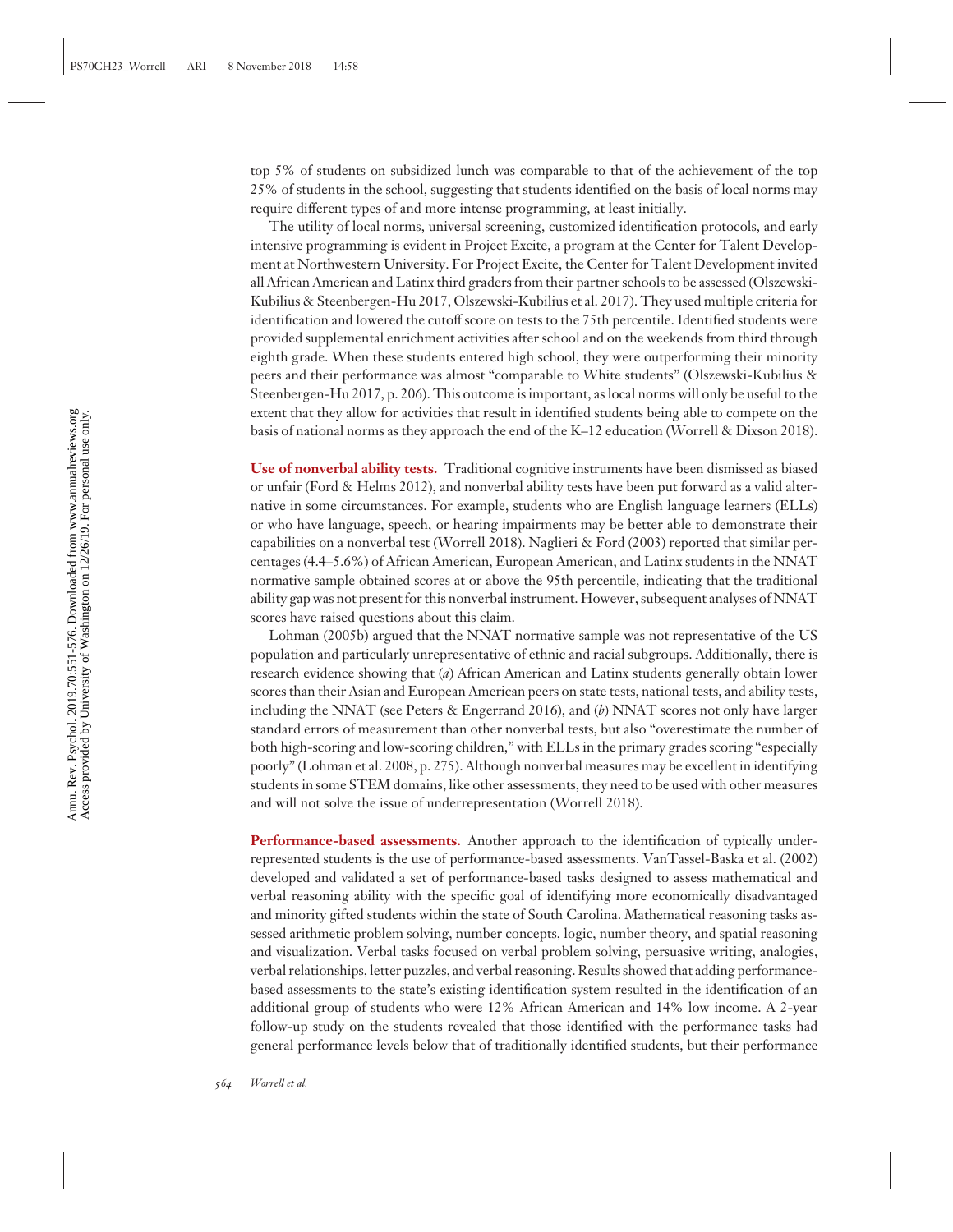top 5% of students on subsidized lunch was comparable to that of the achievement of the top 25% of students in the school, suggesting that students identified on the basis of local norms may require different types of and more intense programming, at least initially.

The utility of local norms, universal screening, customized identification protocols, and early intensive programming is evident in Project Excite, a program at the Center for Talent Development at Northwestern University. For Project Excite, the Center for Talent Development invited all African American and Latinx third graders from their partner schools to be assessed (Olszewski-Kubilius & Steenbergen-Hu 2017, Olszewski-Kubilius et al. 2017). They used multiple criteria for identification and lowered the cutoff score on tests to the 75th percentile. Identified students were provided supplemental enrichment activities after school and on the weekends from third through eighth grade. When these students entered high school, they were outperforming their minority peers and their performance was almost "comparable to White students" (Olszewski-Kubilius & Steenbergen-Hu 2017, p. 206). This outcome is important, as local norms will only be useful to the extent that they allow for activities that result in identified students being able to compete on the basis of national norms as they approach the end of the K–12 education (Worrell & Dixson 2018).

**Use of nonverbal ability tests.** Traditional cognitive instruments have been dismissed as biased or unfair (Ford & Helms 2012), and nonverbal ability tests have been put forward as a valid alternative in some circumstances. For example, students who are English language learners (ELLs) or who have language, speech, or hearing impairments may be better able to demonstrate their capabilities on a nonverbal test (Worrell 2018). Naglieri & Ford (2003) reported that similar percentages (4.4–5.6%) of African American, European American, and Latinx students in the NNAT normative sample obtained scores at or above the 95th percentile, indicating that the traditional ability gap was not present for this nonverbal instrument. However, subsequent analyses of NNAT scores have raised questions about this claim.

Lohman (2005b) argued that the NNAT normative sample was not representative of the US population and particularly unrepresentative of ethnic and racial subgroups. Additionally, there is research evidence showing that (*a*) African American and Latinx students generally obtain lower scores than their Asian and European American peers on state tests, national tests, and ability tests, including the NNAT (see Peters & Engerrand 2016), and (*b*) NNAT scores not only have larger standard errors of measurement than other nonverbal tests, but also "overestimate the number of both high-scoring and low-scoring children," with ELLs in the primary grades scoring "especially poorly" (Lohman et al. 2008, p. 275). Although nonverbal measures may be excellent in identifying students in some STEM domains, like other assessments, they need to be used with other measures and will not solve the issue of underrepresentation (Worrell 2018).

**Performance-based assessments.** Another approach to the identification of typically underrepresented students is the use of performance-based assessments. VanTassel-Baska et al. (2002) developed and validated a set of performance-based tasks designed to assess mathematical and verbal reasoning ability with the specific goal of identifying more economically disadvantaged and minority gifted students within the state of South Carolina. Mathematical reasoning tasks assessed arithmetic problem solving, number concepts, logic, number theory, and spatial reasoning and visualization. Verbal tasks focused on verbal problem solving, persuasive writing, analogies, verbal relationships, letter puzzles, and verbal reasoning. Results showed that adding performancebased assessments to the state's existing identification system resulted in the identification of an additional group of students who were 12% African American and 14% low income. A 2-year follow-up study on the students revealed that those identified with the performance tasks had general performance levels below that of traditionally identified students, but their performance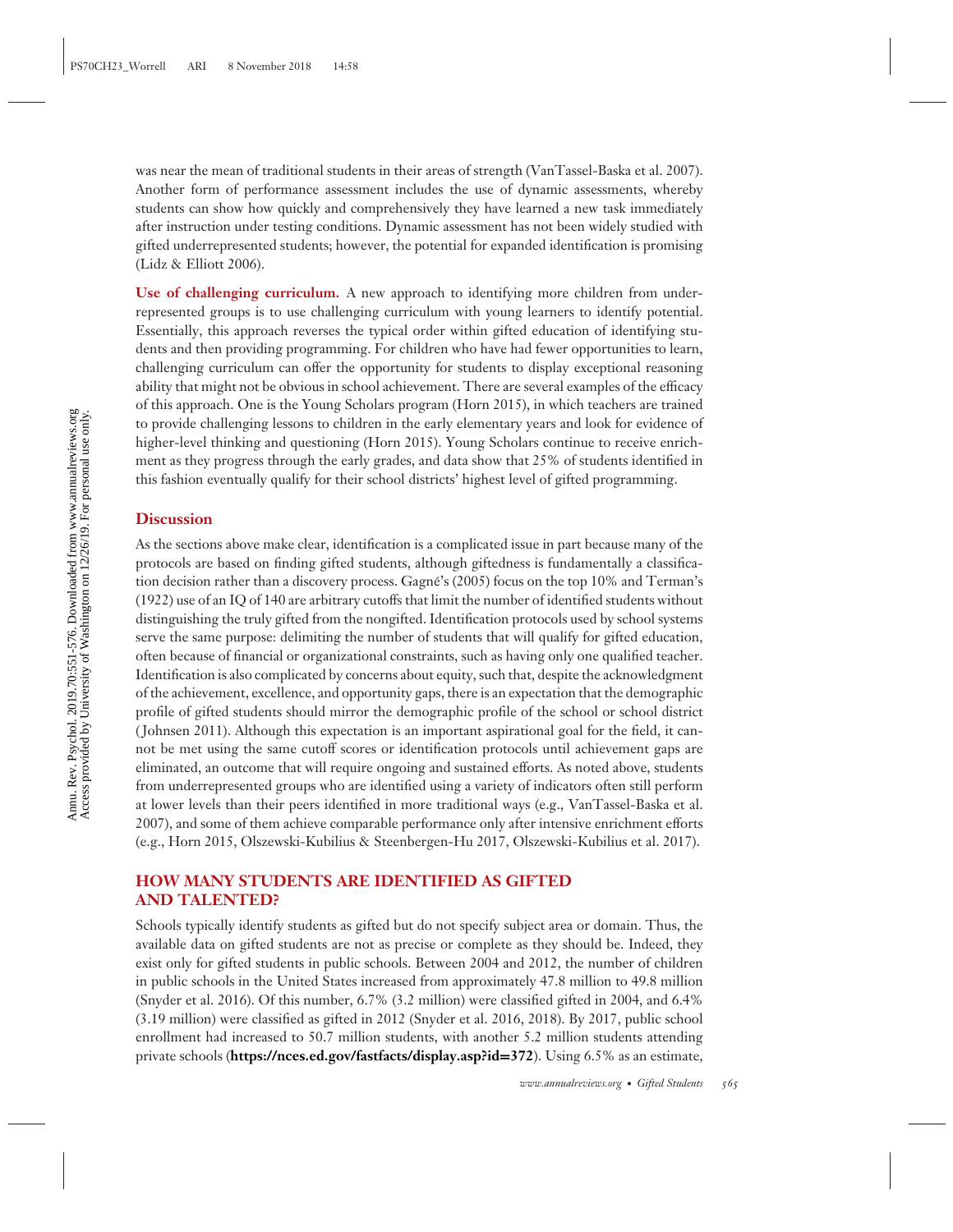was near the mean of traditional students in their areas of strength (VanTassel-Baska et al. 2007). Another form of performance assessment includes the use of dynamic assessments, whereby students can show how quickly and comprehensively they have learned a new task immediately after instruction under testing conditions. Dynamic assessment has not been widely studied with gifted underrepresented students; however, the potential for expanded identification is promising (Lidz & Elliott 2006).

**Use of challenging curriculum.** A new approach to identifying more children from underrepresented groups is to use challenging curriculum with young learners to identify potential. Essentially, this approach reverses the typical order within gifted education of identifying students and then providing programming. For children who have had fewer opportunities to learn, challenging curriculum can offer the opportunity for students to display exceptional reasoning ability that might not be obvious in school achievement. There are several examples of the efficacy of this approach. One is the Young Scholars program (Horn 2015), in which teachers are trained to provide challenging lessons to children in the early elementary years and look for evidence of higher-level thinking and questioning (Horn 2015). Young Scholars continue to receive enrichment as they progress through the early grades, and data show that 25% of students identified in this fashion eventually qualify for their school districts' highest level of gifted programming.

#### **Discussion**

As the sections above make clear, identification is a complicated issue in part because many of the protocols are based on finding gifted students, although giftedness is fundamentally a classification decision rather than a discovery process. Gagné's (2005) focus on the top 10% and Terman's (1922) use of an IQ of 140 are arbitrary cutoffs that limit the number of identified students without distinguishing the truly gifted from the nongifted. Identification protocols used by school systems serve the same purpose: delimiting the number of students that will qualify for gifted education, often because of financial or organizational constraints, such as having only one qualified teacher. Identification is also complicated by concerns about equity, such that, despite the acknowledgment of the achievement, excellence, and opportunity gaps, there is an expectation that the demographic profile of gifted students should mirror the demographic profile of the school or school district ( Johnsen 2011). Although this expectation is an important aspirational goal for the field, it cannot be met using the same cutoff scores or identification protocols until achievement gaps are eliminated, an outcome that will require ongoing and sustained efforts. As noted above, students from underrepresented groups who are identified using a variety of indicators often still perform at lower levels than their peers identified in more traditional ways (e.g., VanTassel-Baska et al. 2007), and some of them achieve comparable performance only after intensive enrichment efforts (e.g., Horn 2015, Olszewski-Kubilius & Steenbergen-Hu 2017, Olszewski-Kubilius et al. 2017).

### **HOW MANY STUDENTS ARE IDENTIFIED AS GIFTED AND TALENTED?**

Schools typically identify students as gifted but do not specify subject area or domain. Thus, the available data on gifted students are not as precise or complete as they should be. Indeed, they exist only for gifted students in public schools. Between 2004 and 2012, the number of children in public schools in the United States increased from approximately 47.8 million to 49.8 million (Snyder et al. 2016). Of this number, 6.7% (3.2 million) were classified gifted in 2004, and 6.4% (3.19 million) were classified as gifted in 2012 (Snyder et al. 2016, 2018). By 2017, public school enrollment had increased to 50.7 million students, with another 5.2 million students attending private schools (**[https://nces.ed.gov/fastfacts/display.asp?id](https://nces.ed.gov/fastfacts/display.asp?id=372)=372**). Using 6.5% as an estimate,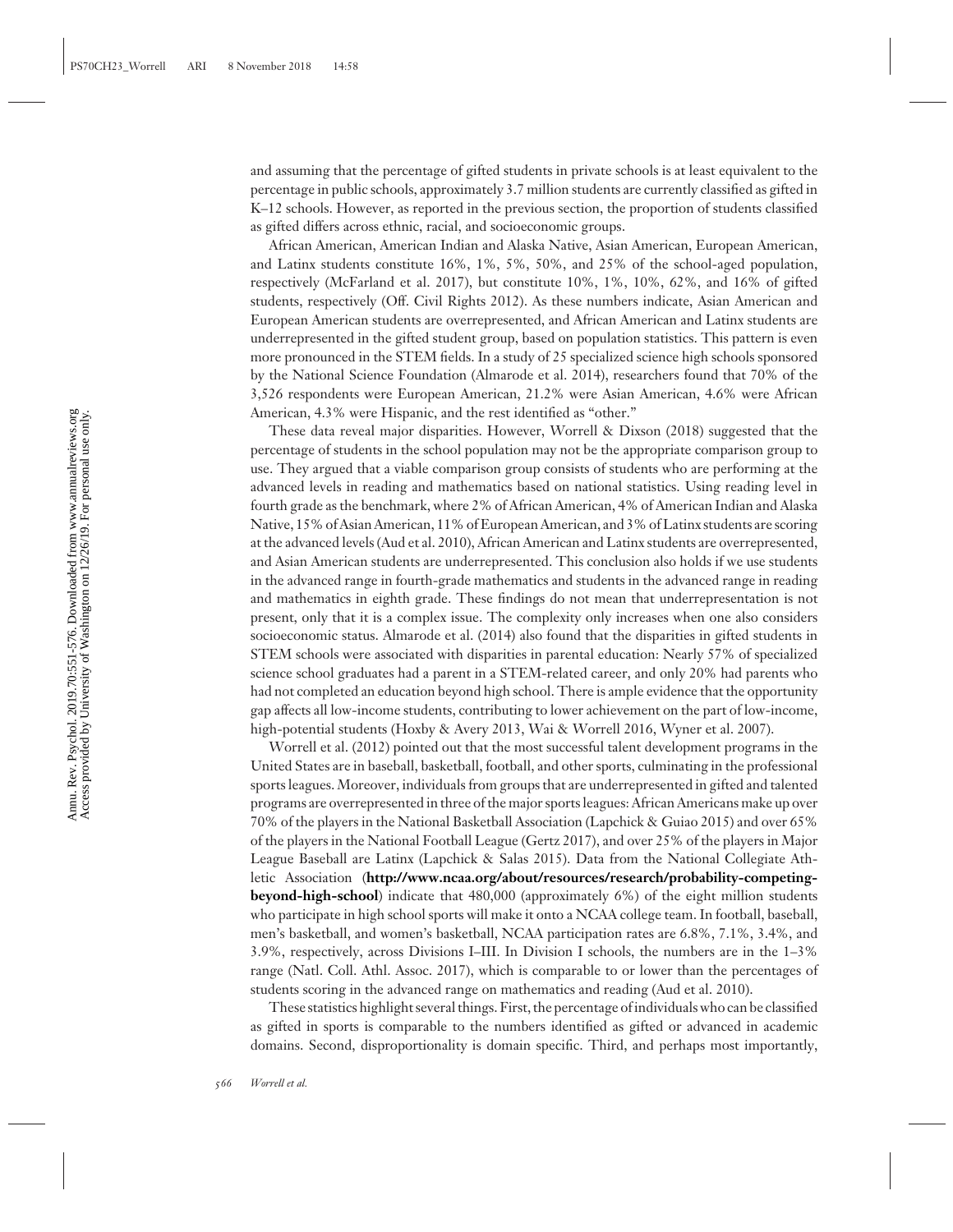and assuming that the percentage of gifted students in private schools is at least equivalent to the percentage in public schools, approximately 3.7 million students are currently classified as gifted in K–12 schools. However, as reported in the previous section, the proportion of students classified as gifted differs across ethnic, racial, and socioeconomic groups.

African American, American Indian and Alaska Native, Asian American, European American, and Latinx students constitute 16%, 1%, 5%, 50%, and 25% of the school-aged population, respectively (McFarland et al. 2017), but constitute 10%, 1%, 10%, 62%, and 16% of gifted students, respectively (Off. Civil Rights 2012). As these numbers indicate, Asian American and European American students are overrepresented, and African American and Latinx students are underrepresented in the gifted student group, based on population statistics. This pattern is even more pronounced in the STEM fields. In a study of 25 specialized science high schools sponsored by the National Science Foundation (Almarode et al. 2014), researchers found that 70% of the 3,526 respondents were European American, 21.2% were Asian American, 4.6% were African American, 4.3% were Hispanic, and the rest identified as "other."

These data reveal major disparities. However, Worrell & Dixson (2018) suggested that the percentage of students in the school population may not be the appropriate comparison group to use. They argued that a viable comparison group consists of students who are performing at the advanced levels in reading and mathematics based on national statistics. Using reading level in fourth grade as the benchmark, where 2% of African American, 4% of American Indian and Alaska Native, 15% of Asian American, 11% of European American, and 3% of Latinx students are scoring at the advanced levels (Aud et al. 2010), African American and Latinx students are overrepresented, and Asian American students are underrepresented. This conclusion also holds if we use students in the advanced range in fourth-grade mathematics and students in the advanced range in reading and mathematics in eighth grade. These findings do not mean that underrepresentation is not present, only that it is a complex issue. The complexity only increases when one also considers socioeconomic status. Almarode et al. (2014) also found that the disparities in gifted students in STEM schools were associated with disparities in parental education: Nearly 57% of specialized science school graduates had a parent in a STEM-related career, and only 20% had parents who had not completed an education beyond high school. There is ample evidence that the opportunity gap affects all low-income students, contributing to lower achievement on the part of low-income, high-potential students (Hoxby & Avery 2013, Wai & Worrell 2016, Wyner et al. 2007).

Worrell et al. (2012) pointed out that the most successful talent development programs in the United States are in baseball, basketball, football, and other sports, culminating in the professional sports leagues. Moreover, individuals from groups that are underrepresented in gifted and talented programs are overrepresented in three of the major sports leagues: African Americans make up over 70% of the players in the National Basketball Association (Lapchick & Guiao 2015) and over 65% of the players in the National Football League (Gertz 2017), and over 25% of the players in Major League Baseball are Latinx (Lapchick & Salas 2015). Data from the National Collegiate Athletic Association (**[http://www.ncaa.org/about/resources/research/probability-competing](http://www.ncaa.org/about/resources/research/probability-competing-beyond-high-school)[beyond-high-school](http://www.ncaa.org/about/resources/research/probability-competing-beyond-high-school)**) indicate that 480,000 (approximately 6%) of the eight million students who participate in high school sports will make it onto a NCAA college team. In football, baseball, men's basketball, and women's basketball, NCAA participation rates are 6.8%, 7.1%, 3.4%, and 3.9%, respectively, across Divisions I–III. In Division I schools, the numbers are in the 1–3% range (Natl. Coll. Athl. Assoc. 2017), which is comparable to or lower than the percentages of students scoring in the advanced range on mathematics and reading (Aud et al. 2010).

These statistics highlight several things. First, the percentage of individuals who can be classified as gifted in sports is comparable to the numbers identified as gifted or advanced in academic domains. Second, disproportionality is domain specific. Third, and perhaps most importantly,

Annu. Rev. Psychol. 2019.70:551-576. Downloaded from www.annualreviews.org<br>Access provided by University of Washington on 12/26/19. For personal use only. Access provided by University of Washington on 12/26/19. For personal use only. Annu. Rev. Psychol. 2019.70:551-576. Downloaded from www.annualreviews.org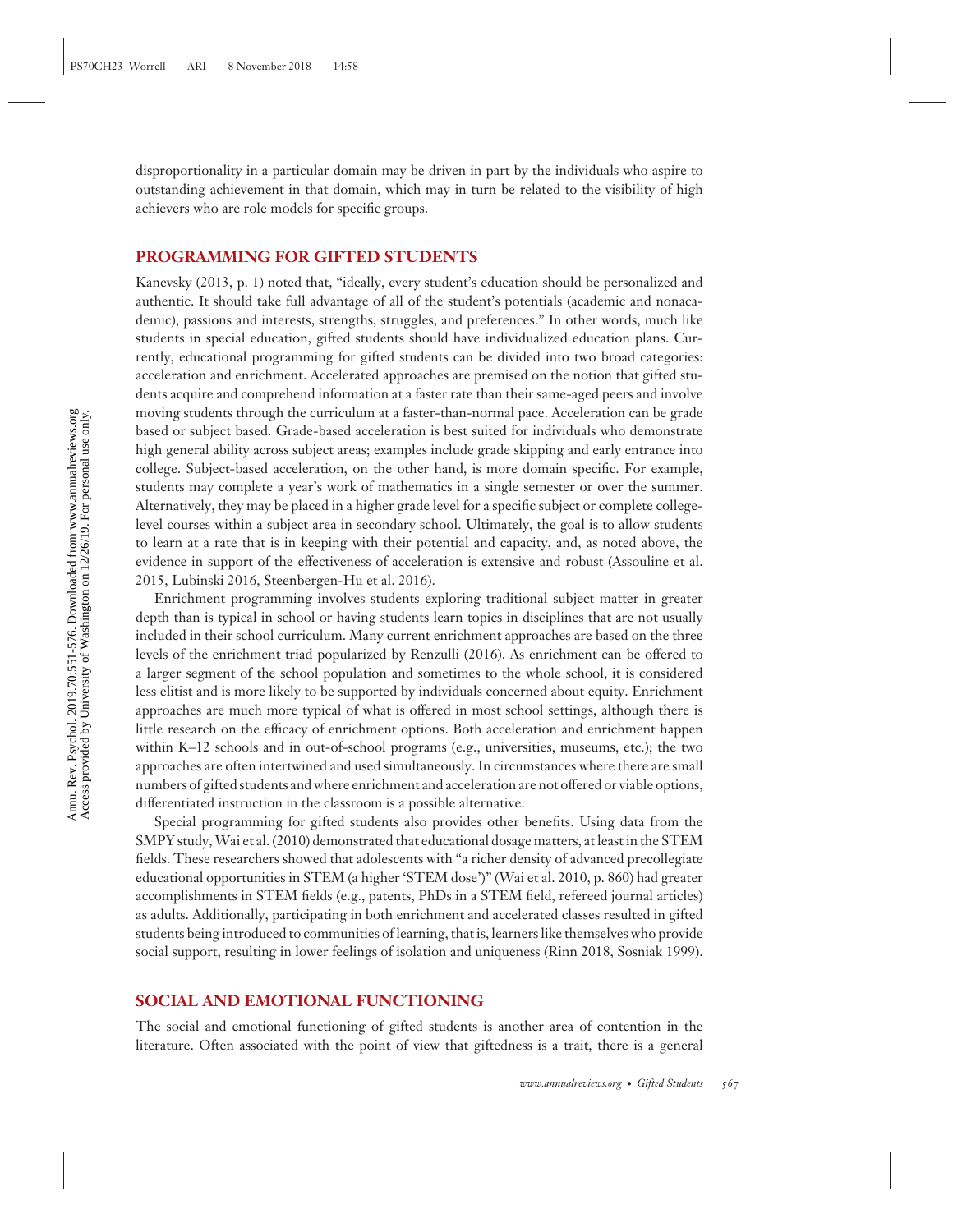disproportionality in a particular domain may be driven in part by the individuals who aspire to outstanding achievement in that domain, which may in turn be related to the visibility of high achievers who are role models for specific groups.

#### **PROGRAMMING FOR GIFTED STUDENTS**

Kanevsky (2013, p. 1) noted that, "ideally, every student's education should be personalized and authentic. It should take full advantage of all of the student's potentials (academic and nonacademic), passions and interests, strengths, struggles, and preferences." In other words, much like students in special education, gifted students should have individualized education plans. Currently, educational programming for gifted students can be divided into two broad categories: acceleration and enrichment. Accelerated approaches are premised on the notion that gifted students acquire and comprehend information at a faster rate than their same-aged peers and involve moving students through the curriculum at a faster-than-normal pace. Acceleration can be grade based or subject based. Grade-based acceleration is best suited for individuals who demonstrate high general ability across subject areas; examples include grade skipping and early entrance into college. Subject-based acceleration, on the other hand, is more domain specific. For example, students may complete a year's work of mathematics in a single semester or over the summer. Alternatively, they may be placed in a higher grade level for a specific subject or complete collegelevel courses within a subject area in secondary school. Ultimately, the goal is to allow students to learn at a rate that is in keeping with their potential and capacity, and, as noted above, the evidence in support of the effectiveness of acceleration is extensive and robust (Assouline et al. 2015, Lubinski 2016, Steenbergen-Hu et al. 2016).

Enrichment programming involves students exploring traditional subject matter in greater depth than is typical in school or having students learn topics in disciplines that are not usually included in their school curriculum. Many current enrichment approaches are based on the three levels of the enrichment triad popularized by Renzulli (2016). As enrichment can be offered to a larger segment of the school population and sometimes to the whole school, it is considered less elitist and is more likely to be supported by individuals concerned about equity. Enrichment approaches are much more typical of what is offered in most school settings, although there is little research on the efficacy of enrichment options. Both acceleration and enrichment happen within K–12 schools and in out-of-school programs (e.g., universities, museums, etc.); the two approaches are often intertwined and used simultaneously. In circumstances where there are small numbers of gifted students and where enrichment and acceleration are not offered or viable options, differentiated instruction in the classroom is a possible alternative.

Special programming for gifted students also provides other benefits. Using data from the SMPY study,Wai et al. (2010) demonstrated that educational dosage matters, at least in the STEM fields. These researchers showed that adolescents with "a richer density of advanced precollegiate educational opportunities in STEM (a higher 'STEM dose')" (Wai et al. 2010, p. 860) had greater accomplishments in STEM fields (e.g., patents, PhDs in a STEM field, refereed journal articles) as adults. Additionally, participating in both enrichment and accelerated classes resulted in gifted students being introduced to communities of learning, that is, learners like themselves who provide social support, resulting in lower feelings of isolation and uniqueness (Rinn 2018, Sosniak 1999).

#### **SOCIAL AND EMOTIONAL FUNCTIONING**

The social and emotional functioning of gifted students is another area of contention in the literature. Often associated with the point of view that giftedness is a trait, there is a general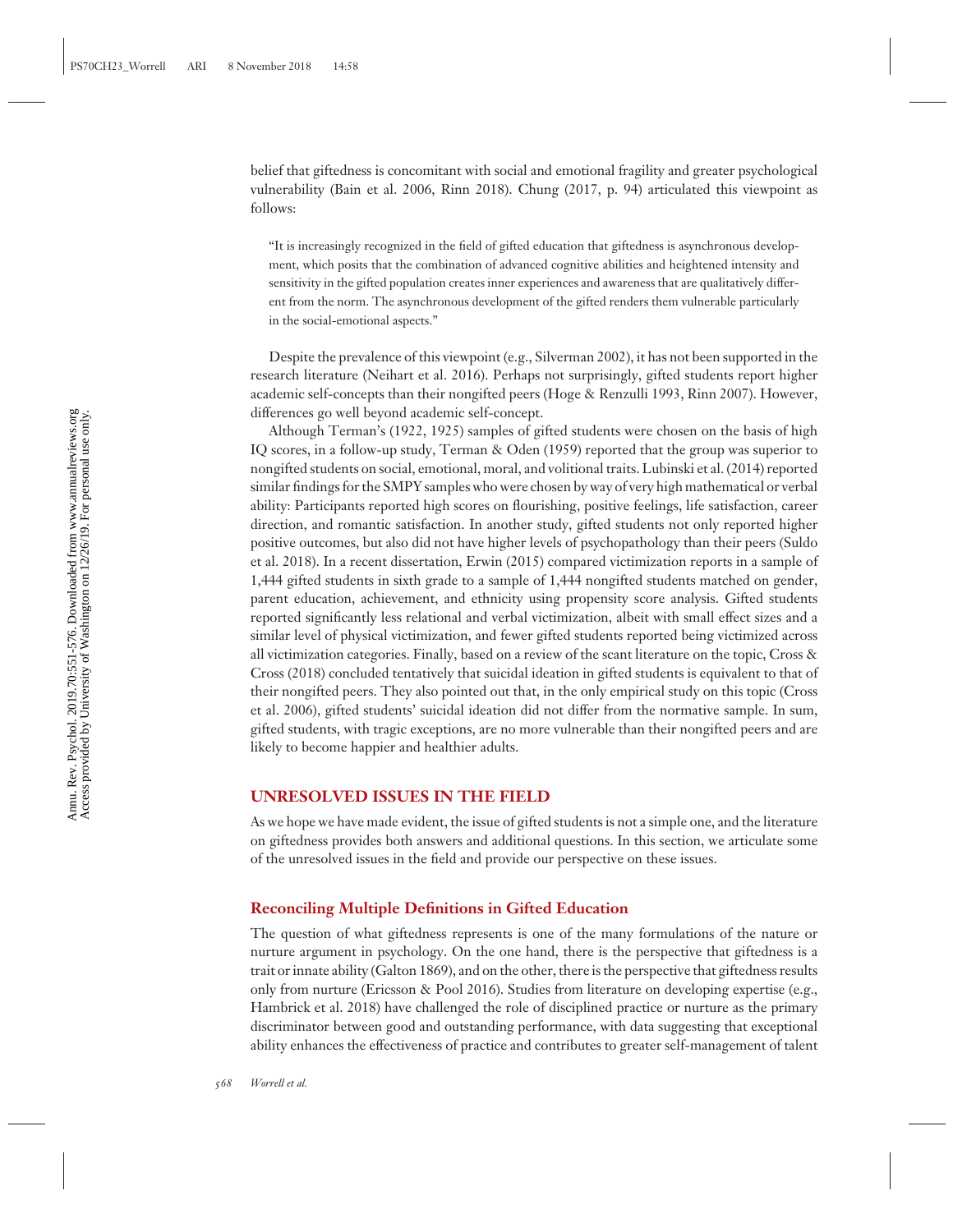belief that giftedness is concomitant with social and emotional fragility and greater psychological vulnerability (Bain et al. 2006, Rinn 2018). Chung (2017, p. 94) articulated this viewpoint as follows:

"It is increasingly recognized in the field of gifted education that giftedness is asynchronous development, which posits that the combination of advanced cognitive abilities and heightened intensity and sensitivity in the gifted population creates inner experiences and awareness that are qualitatively different from the norm. The asynchronous development of the gifted renders them vulnerable particularly in the social-emotional aspects."

Despite the prevalence of this viewpoint (e.g., Silverman 2002), it has not been supported in the research literature (Neihart et al. 2016). Perhaps not surprisingly, gifted students report higher academic self-concepts than their nongifted peers (Hoge & Renzulli 1993, Rinn 2007). However, differences go well beyond academic self-concept.

Although Terman's (1922, 1925) samples of gifted students were chosen on the basis of high IQ scores, in a follow-up study, Terman & Oden (1959) reported that the group was superior to nongifted students on social, emotional, moral, and volitional traits. Lubinski et al. (2014) reported similar findings for the SMPY samples who were chosen by way of very high mathematical or verbal ability: Participants reported high scores on flourishing, positive feelings, life satisfaction, career direction, and romantic satisfaction. In another study, gifted students not only reported higher positive outcomes, but also did not have higher levels of psychopathology than their peers (Suldo et al. 2018). In a recent dissertation, Erwin (2015) compared victimization reports in a sample of 1,444 gifted students in sixth grade to a sample of 1,444 nongifted students matched on gender, parent education, achievement, and ethnicity using propensity score analysis. Gifted students reported significantly less relational and verbal victimization, albeit with small effect sizes and a similar level of physical victimization, and fewer gifted students reported being victimized across all victimization categories. Finally, based on a review of the scant literature on the topic, Cross & Cross (2018) concluded tentatively that suicidal ideation in gifted students is equivalent to that of their nongifted peers. They also pointed out that, in the only empirical study on this topic (Cross et al. 2006), gifted students' suicidal ideation did not differ from the normative sample. In sum, gifted students, with tragic exceptions, are no more vulnerable than their nongifted peers and are likely to become happier and healthier adults.

#### **UNRESOLVED ISSUES IN THE FIELD**

As we hope we have made evident, the issue of gifted students is not a simple one, and the literature on giftedness provides both answers and additional questions. In this section, we articulate some of the unresolved issues in the field and provide our perspective on these issues.

#### **Reconciling Multiple Definitions in Gifted Education**

The question of what giftedness represents is one of the many formulations of the nature or nurture argument in psychology. On the one hand, there is the perspective that giftedness is a trait or innate ability (Galton 1869), and on the other, there is the perspective that giftedness results only from nurture (Ericsson & Pool 2016). Studies from literature on developing expertise (e.g., Hambrick et al. 2018) have challenged the role of disciplined practice or nurture as the primary discriminator between good and outstanding performance, with data suggesting that exceptional ability enhances the effectiveness of practice and contributes to greater self-management of talent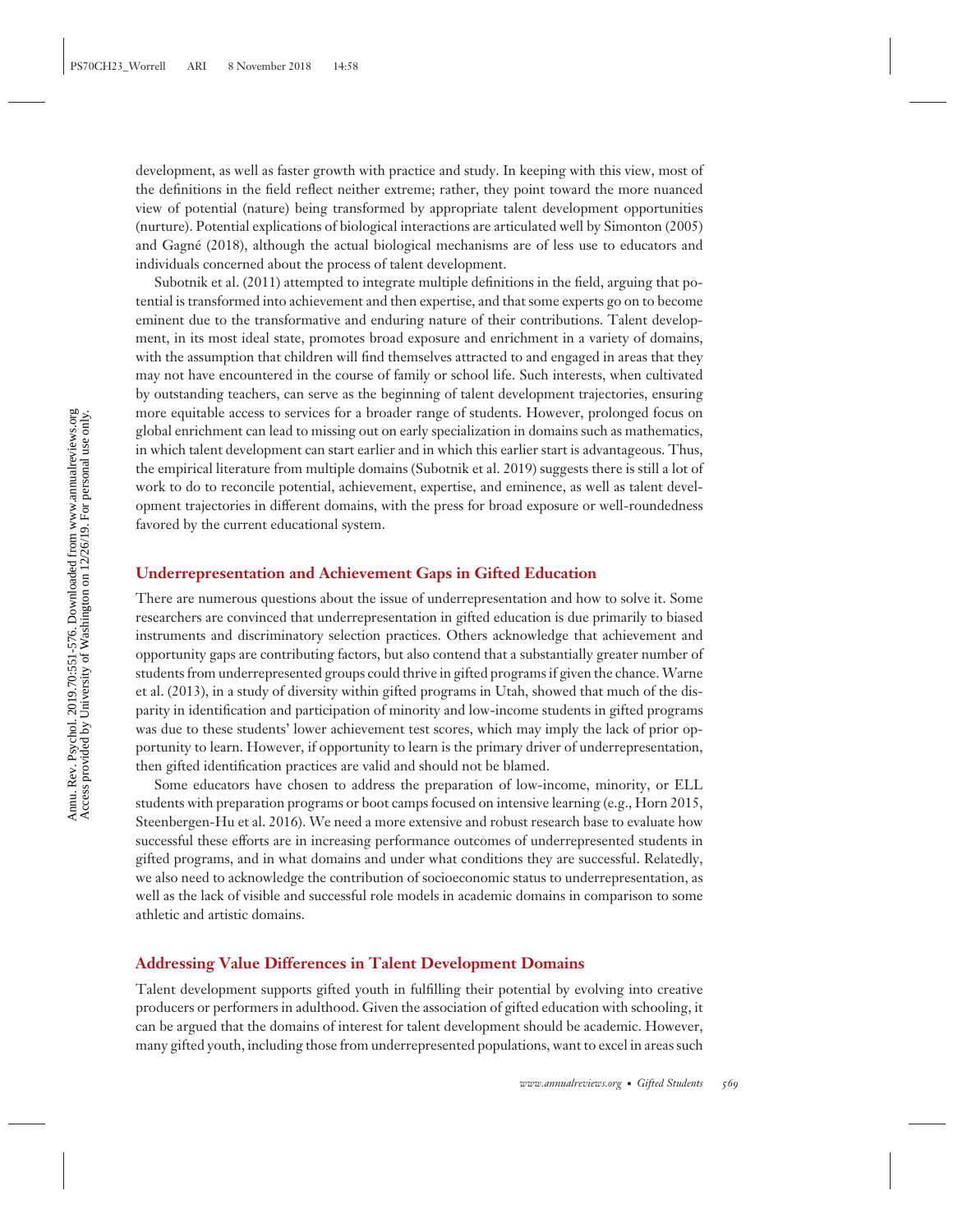development, as well as faster growth with practice and study. In keeping with this view, most of the definitions in the field reflect neither extreme; rather, they point toward the more nuanced view of potential (nature) being transformed by appropriate talent development opportunities (nurture). Potential explications of biological interactions are articulated well by Simonton (2005) and Gagné (2018), although the actual biological mechanisms are of less use to educators and individuals concerned about the process of talent development.

Subotnik et al. (2011) attempted to integrate multiple definitions in the field, arguing that potential is transformed into achievement and then expertise, and that some experts go on to become eminent due to the transformative and enduring nature of their contributions. Talent development, in its most ideal state, promotes broad exposure and enrichment in a variety of domains, with the assumption that children will find themselves attracted to and engaged in areas that they may not have encountered in the course of family or school life. Such interests, when cultivated by outstanding teachers, can serve as the beginning of talent development trajectories, ensuring more equitable access to services for a broader range of students. However, prolonged focus on global enrichment can lead to missing out on early specialization in domains such as mathematics, in which talent development can start earlier and in which this earlier start is advantageous. Thus, the empirical literature from multiple domains (Subotnik et al. 2019) suggests there is still a lot of work to do to reconcile potential, achievement, expertise, and eminence, as well as talent development trajectories in different domains, with the press for broad exposure or well-roundedness favored by the current educational system.

#### **Underrepresentation and Achievement Gaps in Gifted Education**

There are numerous questions about the issue of underrepresentation and how to solve it. Some researchers are convinced that underrepresentation in gifted education is due primarily to biased instruments and discriminatory selection practices. Others acknowledge that achievement and opportunity gaps are contributing factors, but also contend that a substantially greater number of students from underrepresented groups could thrive in gifted programs if given the chance.Warne et al. (2013), in a study of diversity within gifted programs in Utah, showed that much of the disparity in identification and participation of minority and low-income students in gifted programs was due to these students' lower achievement test scores, which may imply the lack of prior opportunity to learn. However, if opportunity to learn is the primary driver of underrepresentation, then gifted identification practices are valid and should not be blamed.

Some educators have chosen to address the preparation of low-income, minority, or ELL students with preparation programs or boot camps focused on intensive learning (e.g., Horn 2015, Steenbergen-Hu et al. 2016). We need a more extensive and robust research base to evaluate how successful these efforts are in increasing performance outcomes of underrepresented students in gifted programs, and in what domains and under what conditions they are successful. Relatedly, we also need to acknowledge the contribution of socioeconomic status to underrepresentation, as well as the lack of visible and successful role models in academic domains in comparison to some athletic and artistic domains.

#### **Addressing Value Differences in Talent Development Domains**

Talent development supports gifted youth in fulfilling their potential by evolving into creative producers or performers in adulthood. Given the association of gifted education with schooling, it can be argued that the domains of interest for talent development should be academic. However, many gifted youth, including those from underrepresented populations, want to excel in areas such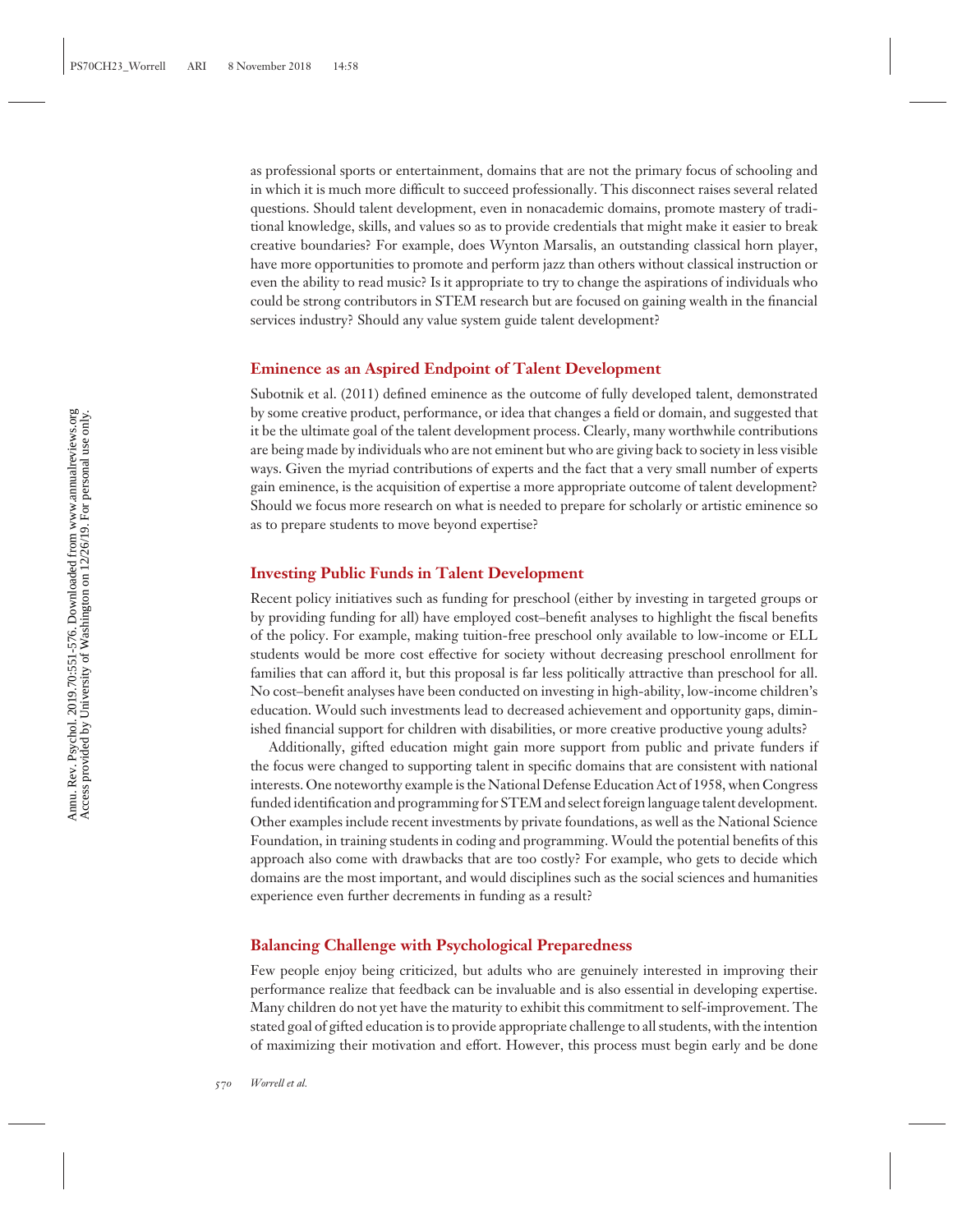as professional sports or entertainment, domains that are not the primary focus of schooling and in which it is much more difficult to succeed professionally. This disconnect raises several related questions. Should talent development, even in nonacademic domains, promote mastery of traditional knowledge, skills, and values so as to provide credentials that might make it easier to break creative boundaries? For example, does Wynton Marsalis, an outstanding classical horn player, have more opportunities to promote and perform jazz than others without classical instruction or even the ability to read music? Is it appropriate to try to change the aspirations of individuals who could be strong contributors in STEM research but are focused on gaining wealth in the financial services industry? Should any value system guide talent development?

#### **Eminence as an Aspired Endpoint of Talent Development**

Subotnik et al. (2011) defined eminence as the outcome of fully developed talent, demonstrated by some creative product, performance, or idea that changes a field or domain, and suggested that it be the ultimate goal of the talent development process. Clearly, many worthwhile contributions are being made by individuals who are not eminent but who are giving back to society in less visible ways. Given the myriad contributions of experts and the fact that a very small number of experts gain eminence, is the acquisition of expertise a more appropriate outcome of talent development? Should we focus more research on what is needed to prepare for scholarly or artistic eminence so as to prepare students to move beyond expertise?

#### **Investing Public Funds in Talent Development**

Recent policy initiatives such as funding for preschool (either by investing in targeted groups or by providing funding for all) have employed cost–benefit analyses to highlight the fiscal benefits of the policy. For example, making tuition-free preschool only available to low-income or ELL students would be more cost effective for society without decreasing preschool enrollment for families that can afford it, but this proposal is far less politically attractive than preschool for all. No cost–benefit analyses have been conducted on investing in high-ability, low-income children's education. Would such investments lead to decreased achievement and opportunity gaps, diminished financial support for children with disabilities, or more creative productive young adults?

Additionally, gifted education might gain more support from public and private funders if the focus were changed to supporting talent in specific domains that are consistent with national interests. One noteworthy example is the National Defense Education Act of 1958, when Congress funded identification and programming for STEM and select foreign language talent development. Other examples include recent investments by private foundations, as well as the National Science Foundation, in training students in coding and programming. Would the potential benefits of this approach also come with drawbacks that are too costly? For example, who gets to decide which domains are the most important, and would disciplines such as the social sciences and humanities experience even further decrements in funding as a result?

#### **Balancing Challenge with Psychological Preparedness**

Few people enjoy being criticized, but adults who are genuinely interested in improving their performance realize that feedback can be invaluable and is also essential in developing expertise. Many children do not yet have the maturity to exhibit this commitment to self-improvement. The stated goal of gifted education is to provide appropriate challenge to all students, with the intention of maximizing their motivation and effort. However, this process must begin early and be done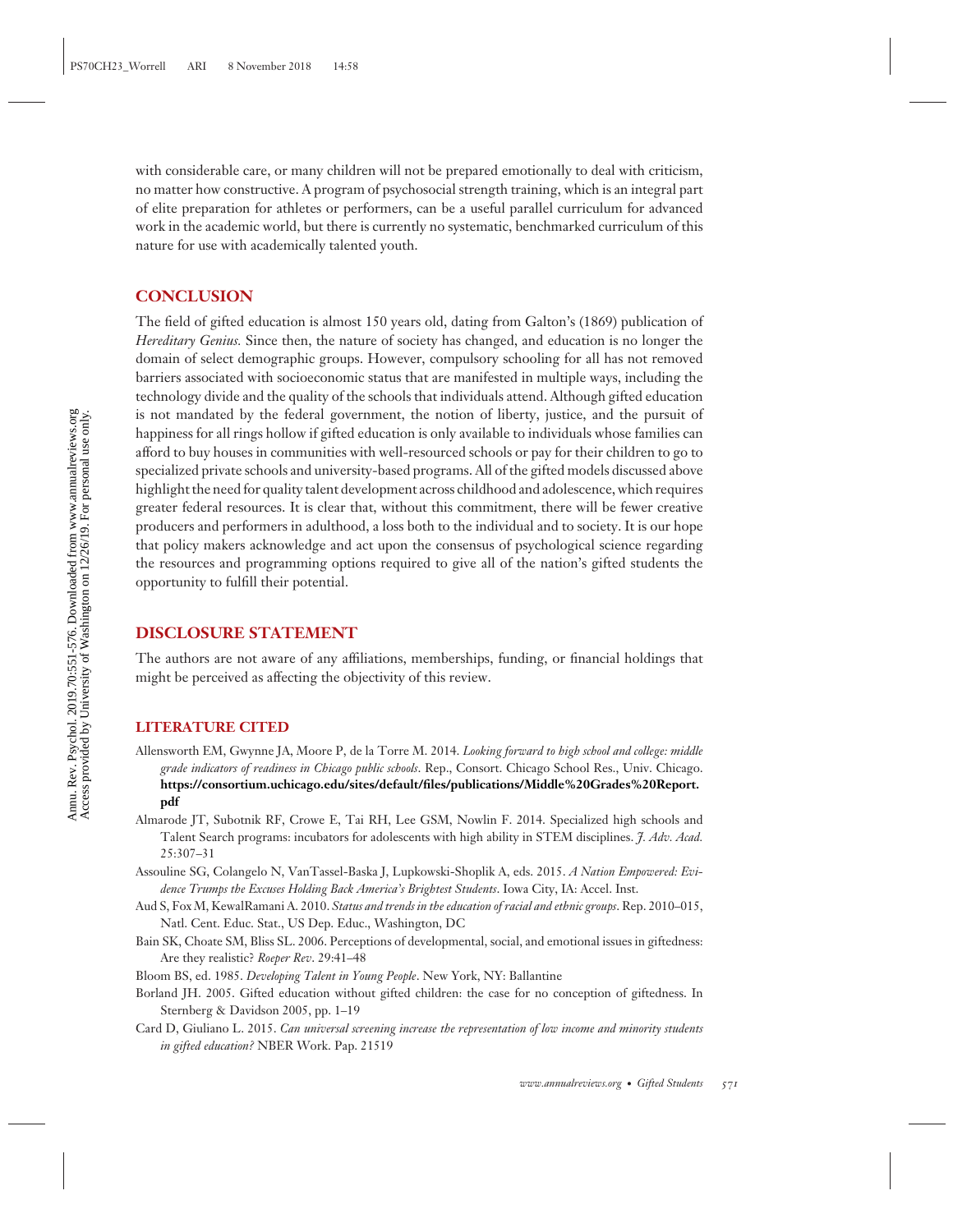with considerable care, or many children will not be prepared emotionally to deal with criticism, no matter how constructive. A program of psychosocial strength training, which is an integral part of elite preparation for athletes or performers, can be a useful parallel curriculum for advanced work in the academic world, but there is currently no systematic, benchmarked curriculum of this nature for use with academically talented youth.

#### **CONCLUSION**

The field of gifted education is almost 150 years old, dating from Galton's (1869) publication of *Hereditary Genius.* Since then, the nature of society has changed, and education is no longer the domain of select demographic groups. However, compulsory schooling for all has not removed barriers associated with socioeconomic status that are manifested in multiple ways, including the technology divide and the quality of the schools that individuals attend. Although gifted education is not mandated by the federal government, the notion of liberty, justice, and the pursuit of happiness for all rings hollow if gifted education is only available to individuals whose families can afford to buy houses in communities with well-resourced schools or pay for their children to go to specialized private schools and university-based programs. All of the gifted models discussed above highlight the need for quality talent development across childhood and adolescence, which requires greater federal resources. It is clear that, without this commitment, there will be fewer creative producers and performers in adulthood, a loss both to the individual and to society. It is our hope that policy makers acknowledge and act upon the consensus of psychological science regarding the resources and programming options required to give all of the nation's gifted students the opportunity to fulfill their potential.

### **DISCLOSURE STATEMENT**

The authors are not aware of any affiliations, memberships, funding, or financial holdings that might be perceived as affecting the objectivity of this review.

#### **LITERATURE CITED**

- Allensworth EM, Gwynne JA, Moore P, de la Torre M. 2014. *Looking forward to high school and college: middle grade indicators of readiness in Chicago public schools*. Rep., Consort. Chicago School Res., Univ. Chicago. **[https://consortium.uchicago.edu/sites/default/files/publications/Middle%20Grades%20Report.](https://consortium.uchicago.edu/sites/default/files/publications/Middle%20Grades%20Report.pdf) [pdf](https://consortium.uchicago.edu/sites/default/files/publications/Middle%20Grades%20Report.pdf)**
- Almarode JT, Subotnik RF, Crowe E, Tai RH, Lee GSM, Nowlin F. 2014. Specialized high schools and Talent Search programs: incubators for adolescents with high ability in STEM disciplines. *J. Adv. Acad.* 25:307–31
- Assouline SG, Colangelo N, VanTassel-Baska J, Lupkowski-Shoplik A, eds. 2015. *A Nation Empowered: Evidence Trumps the Excuses Holding Back America's Brightest Students*. Iowa City, IA: Accel. Inst.
- Aud S, Fox M, KewalRamani A. 2010. *Status and trends in the education of racial and ethnic groups*. Rep. 2010–015, Natl. Cent. Educ. Stat., US Dep. Educ., Washington, DC
- Bain SK, Choate SM, Bliss SL. 2006. Perceptions of developmental, social, and emotional issues in giftedness: Are they realistic? *Roeper Rev*. 29:41–48
- Bloom BS, ed. 1985. *Developing Talent in Young People*. New York, NY: Ballantine
- Borland JH. 2005. Gifted education without gifted children: the case for no conception of giftedness. In Sternberg & Davidson 2005, pp. 1–19
- Card D, Giuliano L. 2015. *Can universal screening increase the representation of low income and minority students in gifted education?* NBER Work. Pap. 21519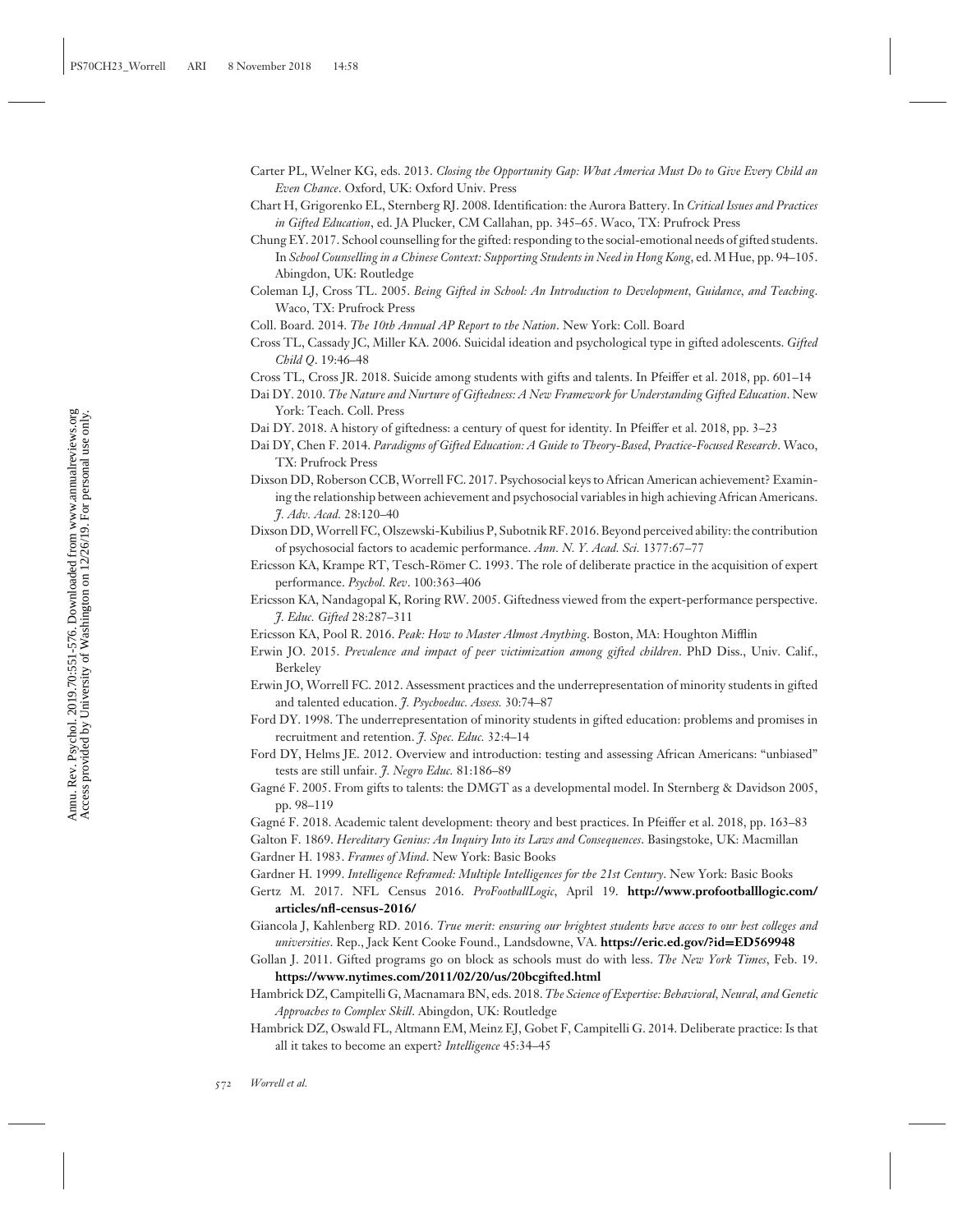- Carter PL, Welner KG, eds. 2013. *Closing the Opportunity Gap: What America Must Do to Give Every Child an Even Chance*. Oxford, UK: Oxford Univ. Press
- Chart H, Grigorenko EL, Sternberg RJ. 2008. Identification: the Aurora Battery. In *Critical Issues and Practices in Gifted Education*, ed. JA Plucker, CM Callahan, pp. 345–65. Waco, TX: Prufrock Press
- Chung EY. 2017. School counselling for the gifted: responding to the social-emotional needs of gifted students. In *School Counselling in a Chinese Context: Supporting Students in Need in Hong Kong*, ed. M Hue, pp. 94–105. Abingdon, UK: Routledge
- Coleman LJ, Cross TL. 2005. *Being Gifted in School: An Introduction to Development, Guidance, and Teaching*. Waco, TX: Prufrock Press
- Coll. Board. 2014. *The 10th Annual AP Report to the Nation*. New York: Coll. Board
- Cross TL, Cassady JC, Miller KA. 2006. Suicidal ideation and psychological type in gifted adolescents. *Gifted Child Q*. 19:46–48
- Cross TL, Cross JR. 2018. Suicide among students with gifts and talents. In Pfeiffer et al. 2018, pp. 601–14
- Dai DY. 2010. *The Nature and Nurture of Giftedness: A New Framework for Understanding Gifted Education*. New York: Teach. Coll. Press
- Dai DY. 2018. A history of giftedness: a century of quest for identity. In Pfeiffer et al. 2018, pp. 3–23
- Dai DY, Chen F. 2014. *Paradigms of Gifted Education: A Guide to Theory-Based, Practice-Focused Research*. Waco, TX: Prufrock Press
- Dixson DD, Roberson CCB,Worrell FC. 2017. Psychosocial keys to African American achievement? Examining the relationship between achievement and psychosocial variables in high achieving African Americans. *J. Adv. Acad.* 28:120–40
- Dixson DD,Worrell FC, Olszewski-Kubilius P, Subotnik RF. 2016. Beyond perceived ability: the contribution of psychosocial factors to academic performance. *Ann. N. Y. Acad. Sci.* 1377:67–77
- Ericsson KA, Krampe RT, Tesch-Römer C. 1993. The role of deliberate practice in the acquisition of expert performance. *Psychol. Rev*. 100:363–406

Ericsson KA, Nandagopal K, Roring RW. 2005. Giftedness viewed from the expert-performance perspective. *J. Educ. Gifted* 28:287–311

- Ericsson KA, Pool R. 2016. *Peak: How to Master Almost Anything*. Boston, MA: Houghton Mifflin
- Erwin JO. 2015. *Prevalence and impact of peer victimization among gifted children*. PhD Diss., Univ. Calif., Berkeley
- Erwin JO, Worrell FC. 2012. Assessment practices and the underrepresentation of minority students in gifted and talented education. *J. Psychoeduc. Assess.* 30:74–87
- Ford DY. 1998. The underrepresentation of minority students in gifted education: problems and promises in recruitment and retention. *J. Spec. Educ.* 32:4–14
- Ford DY, Helms JE. 2012. Overview and introduction: testing and assessing African Americans: "unbiased" tests are still unfair. *J. Negro Educ.* 81:186–89
- Gagné F. 2005. From gifts to talents: the DMGT as a developmental model. In Sternberg & Davidson 2005, pp. 98–119
- Gagne F. 2018. Academic talent development: theory and best practices. In Pfeiffer et al. 2018, pp. 163–83 ´
- Galton F. 1869. *Hereditary Genius: An Inquiry Into its Laws and Consequences*. Basingstoke, UK: Macmillan
- Gardner H. 1983. *Frames of Mind*. New York: Basic Books
- Gardner H. 1999. *Intelligence Reframed: Multiple Intelligences for the 21st Century*. New York: Basic Books
- Gertz M. 2017. NFL Census 2016. *ProFootballLogic*, April 19. **[http://www.profootballlogic.com/](http://www.profootballlogic.com/articles/nfl-census-2016/) [articles/nfl-census-2016/](http://www.profootballlogic.com/articles/nfl-census-2016/)**
- Giancola J, Kahlenberg RD. 2016. *True merit: ensuring our brightest students have access to our best colleges and universities*. Rep., Jack Kent Cooke Found., Landsdowne, VA. **[https://eric.ed.gov/?id](https://eric.ed.gov/?id=ED569948)=ED569948**
- Gollan J. 2011. Gifted programs go on block as schools must do with less. *The New York Times*, Feb. 19. **<https://www.nytimes.com/2011/02/20/us/20bcgifted.html>**
- Hambrick DZ, Campitelli G, Macnamara BN, eds. 2018. *The Science of Expertise: Behavioral, Neural, and Genetic Approaches to Complex Skill*. Abingdon, UK: Routledge
- Hambrick DZ, Oswald FL, Altmann EM, Meinz EJ, Gobet F, Campitelli G. 2014. Deliberate practice: Is that all it takes to become an expert? *Intelligence* 45:34–45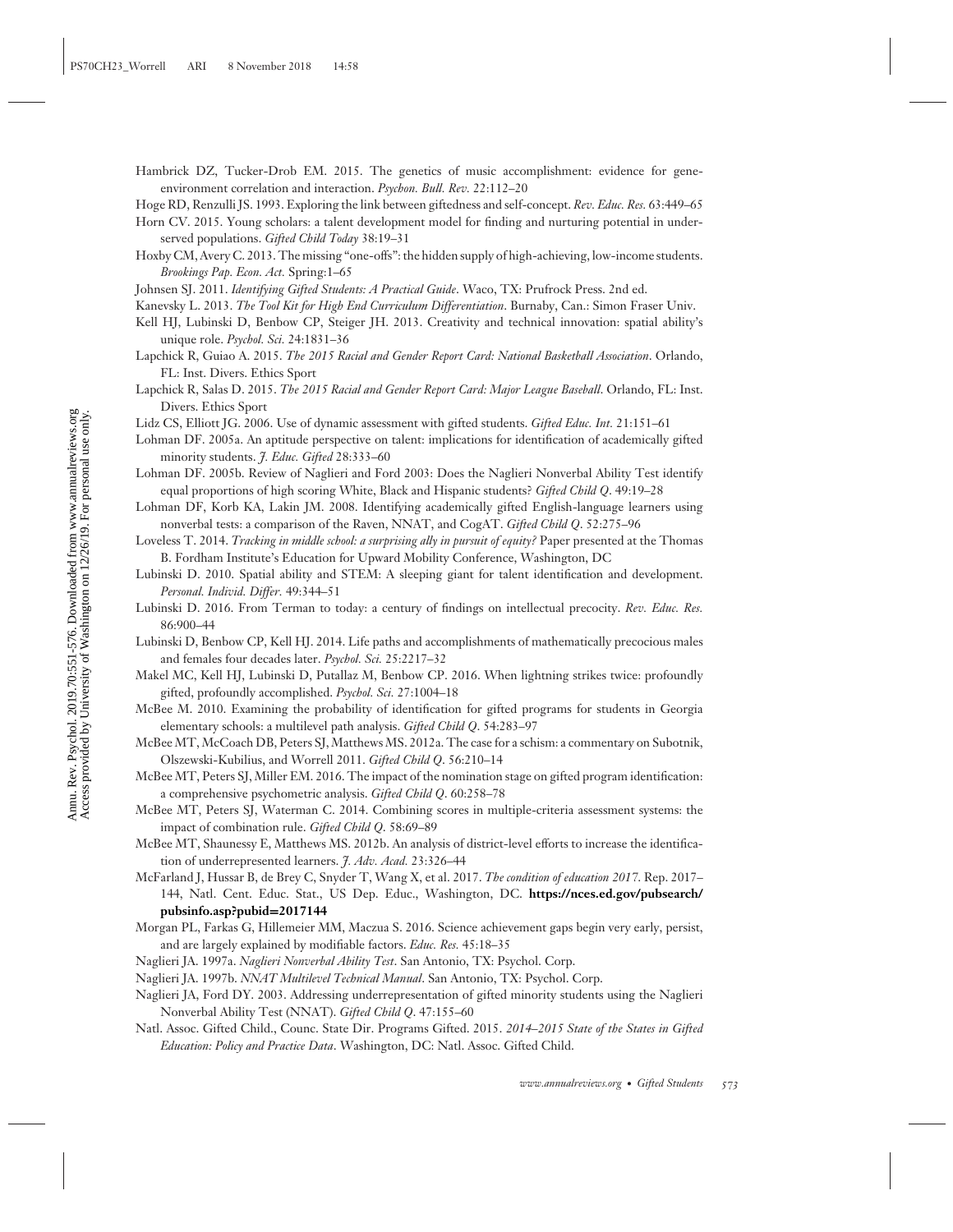- Hambrick DZ, Tucker-Drob EM. 2015. The genetics of music accomplishment: evidence for geneenvironment correlation and interaction. *Psychon. Bull. Rev.* 22:112–20
- Hoge RD, Renzulli JS. 1993. Exploring the link between giftedness and self-concept. *Rev. Educ. Res.* 63:449–65
- Horn CV. 2015. Young scholars: a talent development model for finding and nurturing potential in underserved populations. *Gifted Child Today* 38:19–31
- Hoxby CM, Avery C. 2013. The missing "one-offs": the hidden supply of high-achieving, low-income students. *Brookings Pap. Econ. Act.* Spring:1–65
- Johnsen SJ. 2011. *Identifying Gifted Students: A Practical Guide*. Waco, TX: Prufrock Press. 2nd ed.
- Kanevsky L. 2013. *The Tool Kit for High End Curriculum Differentiation*. Burnaby, Can.: Simon Fraser Univ.
- Kell HJ, Lubinski D, Benbow CP, Steiger JH. 2013. Creativity and technical innovation: spatial ability's unique role. *Psychol. Sci.* 24:1831–36
- Lapchick R, Guiao A. 2015. *The 2015 Racial and Gender Report Card: National Basketball Association*. Orlando, FL: Inst. Divers. Ethics Sport
- Lapchick R, Salas D. 2015. *The 2015 Racial and Gender Report Card: Major League Baseball*. Orlando, FL: Inst. Divers. Ethics Sport
- Lidz CS, Elliott JG. 2006. Use of dynamic assessment with gifted students. *Gifted Educ. Int.* 21:151–61
- Lohman DF. 2005a. An aptitude perspective on talent: implications for identification of academically gifted minority students. *J. Educ. Gifted* 28:333–60
- Lohman DF. 2005b. Review of Naglieri and Ford 2003: Does the Naglieri Nonverbal Ability Test identify equal proportions of high scoring White, Black and Hispanic students? *Gifted Child Q*. 49:19–28
- Lohman DF, Korb KA, Lakin JM. 2008. Identifying academically gifted English-language learners using nonverbal tests: a comparison of the Raven, NNAT, and CogAT. *Gifted Child Q*. 52:275–96
- Loveless T. 2014. *Tracking in middle school: a surprising ally in pursuit of equity?* Paper presented at the Thomas B. Fordham Institute's Education for Upward Mobility Conference, Washington, DC
- Lubinski D. 2010. Spatial ability and STEM: A sleeping giant for talent identification and development. *Personal. Individ. Differ.* 49:344–51
- Lubinski D. 2016. From Terman to today: a century of findings on intellectual precocity. *Rev. Educ. Res.* 86:900–44
- Lubinski D, Benbow CP, Kell HJ. 2014. Life paths and accomplishments of mathematically precocious males and females four decades later. *Psychol. Sci.* 25:2217–32
- Makel MC, Kell HJ, Lubinski D, Putallaz M, Benbow CP. 2016. When lightning strikes twice: profoundly gifted, profoundly accomplished. *Psychol. Sci.* 27:1004–18
- McBee M. 2010. Examining the probability of identification for gifted programs for students in Georgia elementary schools: a multilevel path analysis. *Gifted Child Q*. 54:283–97
- McBee MT, McCoach DB, Peters SJ, Matthews MS. 2012a. The case for a schism: a commentary on Subotnik, Olszewski-Kubilius, and Worrell 2011. *Gifted Child Q*. 56:210–14
- McBee MT, Peters SJ, Miller EM. 2016. The impact of the nomination stage on gifted program identification: a comprehensive psychometric analysis. *Gifted Child Q*. 60:258–78
- McBee MT, Peters SJ, Waterman C. 2014. Combining scores in multiple-criteria assessment systems: the impact of combination rule. *Gifted Child Q*. 58:69–89
- McBee MT, Shaunessy E, Matthews MS. 2012b. An analysis of district-level efforts to increase the identification of underrepresented learners. *J. Adv. Acad.* 23:326–44
- McFarland J, Hussar B, de Brey C, Snyder T, Wang X, et al. 2017. *The condition of education 2017*. Rep. 2017– 144, Natl. Cent. Educ. Stat., US Dep. Educ., Washington, DC. **[https://nces.ed.gov/pubsearch/](https://nces.ed.gov/pubsearch/pubsinfo.asp?pubid=2017144) [pubsinfo.asp?pubid](https://nces.ed.gov/pubsearch/pubsinfo.asp?pubid=2017144)=2017144**
- Morgan PL, Farkas G, Hillemeier MM, Maczua S. 2016. Science achievement gaps begin very early, persist, and are largely explained by modifiable factors. *Educ. Res.* 45:18–35
- Naglieri JA. 1997a. *Naglieri Nonverbal Ability Test*. San Antonio, TX: Psychol. Corp.
- Naglieri JA. 1997b. *NNAT Multilevel Technical Manual*. San Antonio, TX: Psychol. Corp.
- Naglieri JA, Ford DY. 2003. Addressing underrepresentation of gifted minority students using the Naglieri Nonverbal Ability Test (NNAT). *Gifted Child Q*. 47:155–60
- Natl. Assoc. Gifted Child., Counc. State Dir. Programs Gifted. 2015. *2014*–*2015 State of the States in Gifted Education: Policy and Practice Data*. Washington, DC: Natl. Assoc. Gifted Child.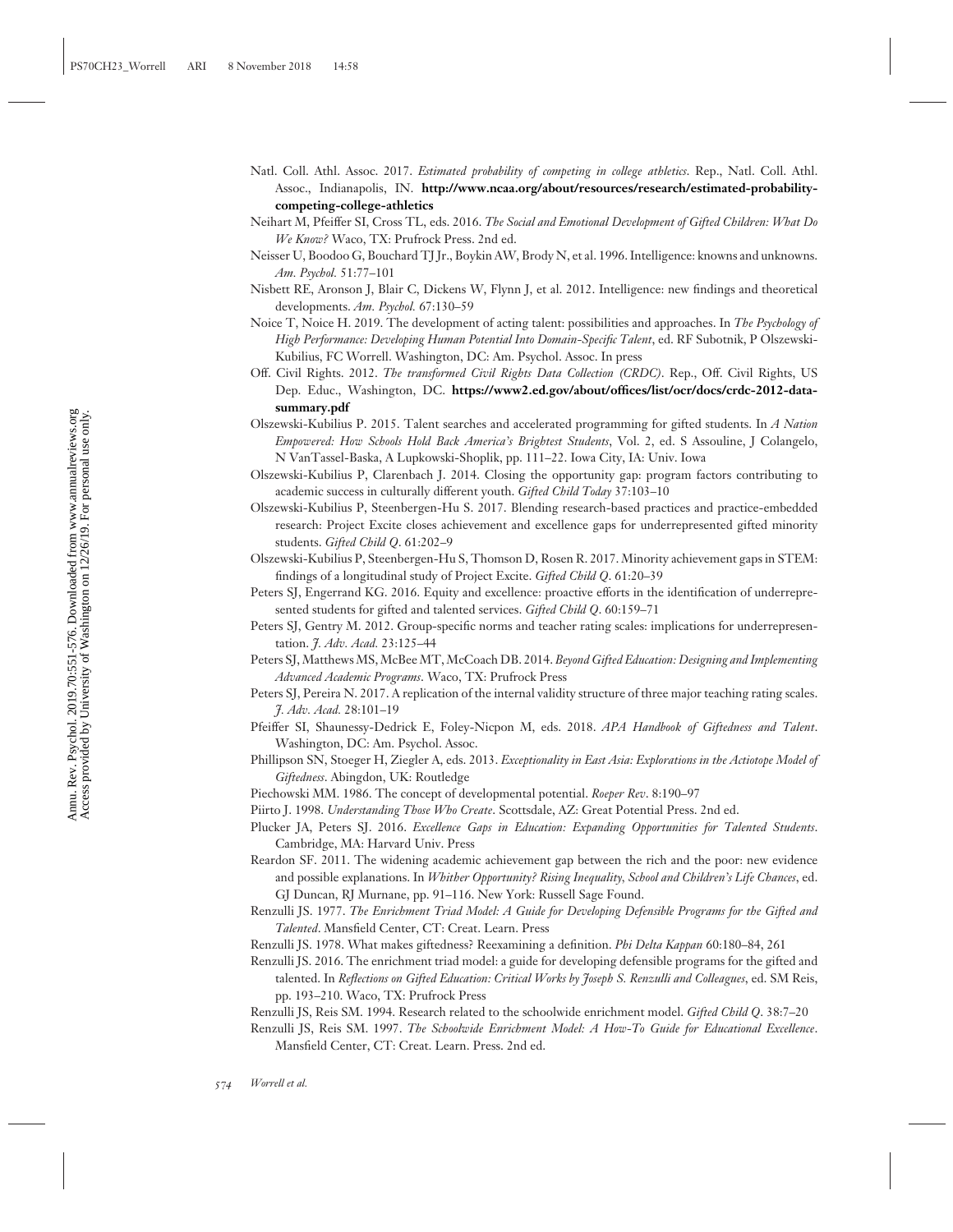- Natl. Coll. Athl. Assoc. 2017. *Estimated probability of competing in college athletics*. Rep., Natl. Coll. Athl. Assoc., Indianapolis, IN. **[http://www.ncaa.org/about/resources/research/estimated-probability](http://www.ncaa.org/about/resources/research/estimated-probability-competing-college-athletics)[competing-college-athletics](http://www.ncaa.org/about/resources/research/estimated-probability-competing-college-athletics)**
- Neihart M, Pfeiffer SI, Cross TL, eds. 2016. *The Social and Emotional Development of Gifted Children: What Do We Know?* Waco, TX: Prufrock Press. 2nd ed.
- Neisser U, Boodoo G, Bouchard TJ Jr., Boykin AW, Brody N, et al. 1996. Intelligence: knowns and unknowns. *Am. Psychol.* 51:77–101
- Nisbett RE, Aronson J, Blair C, Dickens W, Flynn J, et al. 2012. Intelligence: new findings and theoretical developments. *Am. Psychol.* 67:130–59
- Noice T, Noice H. 2019. The development of acting talent: possibilities and approaches. In *The Psychology of High Performance: Developing Human Potential Into Domain-Specific Talent*, ed. RF Subotnik, P Olszewski-Kubilius, FC Worrell. Washington, DC: Am. Psychol. Assoc. In press
- Off. Civil Rights. 2012. *The transformed Civil Rights Data Collection (CRDC)*. Rep., Off. Civil Rights, US Dep. Educ., Washington, DC. **[https://www2.ed.gov/about/offices/list/ocr/docs/crdc-2012-data](https://www2.ed.gov/about/offices/list/ocr/docs/crdc-2012-data-summary.pdf)[summary.pdf](https://www2.ed.gov/about/offices/list/ocr/docs/crdc-2012-data-summary.pdf)**
- Olszewski-Kubilius P. 2015. Talent searches and accelerated programming for gifted students. In *A Nation Empowered: How Schools Hold Back America's Brightest Students*, Vol. 2, ed. S Assouline, J Colangelo, N VanTassel-Baska, A Lupkowski-Shoplik, pp. 111–22. Iowa City, IA: Univ. Iowa
- Olszewski-Kubilius P, Clarenbach J. 2014. Closing the opportunity gap: program factors contributing to academic success in culturally different youth. *Gifted Child Today* 37:103–10
- Olszewski-Kubilius P, Steenbergen-Hu S. 2017. Blending research-based practices and practice-embedded research: Project Excite closes achievement and excellence gaps for underrepresented gifted minority students. *Gifted Child Q*. 61:202–9
- Olszewski-Kubilius P, Steenbergen-Hu S, Thomson D, Rosen R. 2017. Minority achievement gaps in STEM: findings of a longitudinal study of Project Excite. *Gifted Child Q*. 61:20–39
- Peters SJ, Engerrand KG. 2016. Equity and excellence: proactive efforts in the identification of underrepresented students for gifted and talented services. *Gifted Child Q*. 60:159–71
- Peters SJ, Gentry M. 2012. Group-specific norms and teacher rating scales: implications for underrepresentation. *J. Adv. Acad.* 23:125–44
- Peters SJ, Matthews MS, McBee MT, McCoach DB. 2014. *Beyond Gifted Education: Designing and Implementing Advanced Academic Programs*. Waco, TX: Prufrock Press
- Peters SJ, Pereira N. 2017. A replication of the internal validity structure of three major teaching rating scales. *J. Adv. Acad.* 28:101–19
- Pfeiffer SI, Shaunessy-Dedrick E, Foley-Nicpon M, eds. 2018. *APA Handbook of Giftedness and Talent*. Washington, DC: Am. Psychol. Assoc.
- Phillipson SN, Stoeger H, Ziegler A, eds. 2013. *Exceptionality in East Asia: Explorations in the Actiotope Model of Giftedness*. Abingdon, UK: Routledge
- Piechowski MM. 1986. The concept of developmental potential. *Roeper Rev*. 8:190–97
- Piirto J. 1998. *Understanding Those Who Create*. Scottsdale, AZ: Great Potential Press. 2nd ed.
- Plucker JA, Peters SJ. 2016. *Excellence Gaps in Education: Expanding Opportunities for Talented Students*. Cambridge, MA: Harvard Univ. Press
- Reardon SF. 2011. The widening academic achievement gap between the rich and the poor: new evidence and possible explanations. In *Whither Opportunity? Rising Inequality, School and Children's Life Chances*, ed. GJ Duncan, RJ Murnane, pp. 91–116. New York: Russell Sage Found.
- Renzulli JS. 1977. *The Enrichment Triad Model: A Guide for Developing Defensible Programs for the Gifted and Talented*. Mansfield Center, CT: Creat. Learn. Press
- Renzulli JS. 1978. What makes giftedness? Reexamining a definition. *Phi Delta Kappan* 60:180–84, 261
- Renzulli JS. 2016. The enrichment triad model: a guide for developing defensible programs for the gifted and talented. In *Reflections on Gifted Education: Critical Works by Joseph S. Renzulli and Colleagues*, ed. SM Reis, pp. 193–210. Waco, TX: Prufrock Press
- Renzulli JS, Reis SM. 1994. Research related to the schoolwide enrichment model. *Gifted Child Q*. 38:7–20
- Renzulli JS, Reis SM. 1997. *The Schoolwide Enrichment Model: A How-To Guide for Educational Excellence*. Mansfield Center, CT: Creat. Learn. Press. 2nd ed.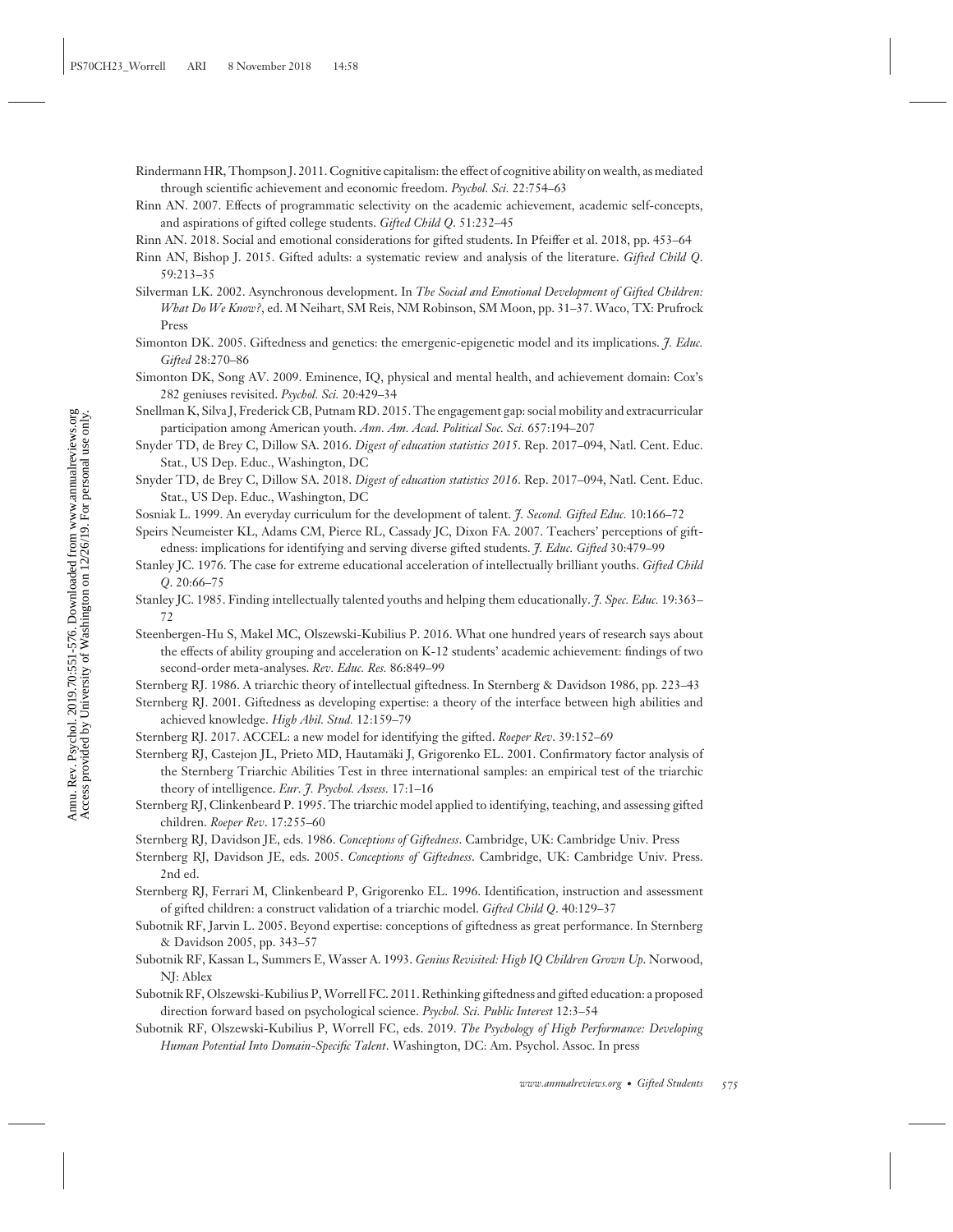- Rindermann HR, Thompson J. 2011. Cognitive capitalism: the effect of cognitive ability on wealth, as mediated through scientific achievement and economic freedom. *Psychol. Sci.* 22:754–63
- Rinn AN. 2007. Effects of programmatic selectivity on the academic achievement, academic self-concepts, and aspirations of gifted college students. *Gifted Child Q*. 51:232–45
- Rinn AN. 2018. Social and emotional considerations for gifted students. In Pfeiffer et al. 2018, pp. 453–64
- Rinn AN, Bishop J. 2015. Gifted adults: a systematic review and analysis of the literature. *Gifted Child Q*. 59:213–35
- Silverman LK. 2002. Asynchronous development. In *The Social and Emotional Development of Gifted Children: What Do We Know?*, ed. M Neihart, SM Reis, NM Robinson, SM Moon, pp. 31–37. Waco, TX: Prufrock Press
- Simonton DK. 2005. Giftedness and genetics: the emergenic-epigenetic model and its implications. *J. Educ. Gifted* 28:270–86
- Simonton DK, Song AV. 2009. Eminence, IQ, physical and mental health, and achievement domain: Cox's 282 geniuses revisited. *Psychol. Sci.* 20:429–34
- Snellman K, Silva J, Frederick CB, Putnam RD. 2015. The engagement gap: social mobility and extracurricular participation among American youth. *Ann. Am. Acad. Political Soc. Sci.* 657:194–207
- Snyder TD, de Brey C, Dillow SA. 2016. *Digest of education statistics 2015*. Rep. 2017–094, Natl. Cent. Educ. Stat., US Dep. Educ., Washington, DC
- Snyder TD, de Brey C, Dillow SA. 2018. *Digest of education statistics 2016*. Rep. 2017–094, Natl. Cent. Educ. Stat., US Dep. Educ., Washington, DC
- Sosniak L. 1999. An everyday curriculum for the development of talent. *J. Second. Gifted Educ.* 10:166–72
- Speirs Neumeister KL, Adams CM, Pierce RL, Cassady JC, Dixon FA. 2007. Teachers' perceptions of giftedness: implications for identifying and serving diverse gifted students. *J. Educ. Gifted* 30:479–99
- Stanley JC. 1976. The case for extreme educational acceleration of intellectually brilliant youths. *Gifted Child Q*. 20:66–75
- Stanley JC. 1985. Finding intellectually talented youths and helping them educationally. *J. Spec. Educ.* 19:363– 72
- Steenbergen-Hu S, Makel MC, Olszewski-Kubilius P. 2016. What one hundred years of research says about the effects of ability grouping and acceleration on K-12 students' academic achievement: findings of two second-order meta-analyses. *Rev. Educ. Res.* 86:849–99
- Sternberg RJ. 1986. A triarchic theory of intellectual giftedness. In Sternberg & Davidson 1986, pp. 223–43
- Sternberg RJ. 2001. Giftedness as developing expertise: a theory of the interface between high abilities and achieved knowledge. *High Abil. Stud.* 12:159–79
- Sternberg RJ. 2017. ACCEL: a new model for identifying the gifted. *Roeper Rev*. 39:152–69
- Sternberg RJ, Castejon JL, Prieto MD, Hautamäki J, Grigorenko EL. 2001. Confirmatory factor analysis of the Sternberg Triarchic Abilities Test in three international samples: an empirical test of the triarchic theory of intelligence. *Eur. J. Psychol. Assess.* 17:1–16
- Sternberg RJ, Clinkenbeard P. 1995. The triarchic model applied to identifying, teaching, and assessing gifted children. *Roeper Rev*. 17:255–60
- Sternberg RJ, Davidson JE, eds. 1986. *Conceptions of Giftedness*. Cambridge, UK: Cambridge Univ. Press
- Sternberg RJ, Davidson JE, eds. 2005. *Conceptions of Giftedness*. Cambridge, UK: Cambridge Univ. Press. 2nd ed.
- Sternberg RJ, Ferrari M, Clinkenbeard P, Grigorenko EL. 1996. Identification, instruction and assessment of gifted children: a construct validation of a triarchic model. *Gifted Child Q*. 40:129–37
- Subotnik RF, Jarvin L. 2005. Beyond expertise: conceptions of giftedness as great performance. In Sternberg & Davidson 2005, pp. 343–57
- Subotnik RF, Kassan L, Summers E, Wasser A. 1993. *Genius Revisited: High IQ Children Grown Up*. Norwood, NJ: Ablex
- Subotnik RF, Olszewski-Kubilius P,Worrell FC. 2011. Rethinking giftedness and gifted education: a proposed direction forward based on psychological science. *Psychol. Sci. Public Interest* 12:3–54
- Subotnik RF, Olszewski-Kubilius P, Worrell FC, eds. 2019. *The Psychology of High Performance: Developing Human Potential Into Domain-Specific Talent*. Washington, DC: Am. Psychol. Assoc. In press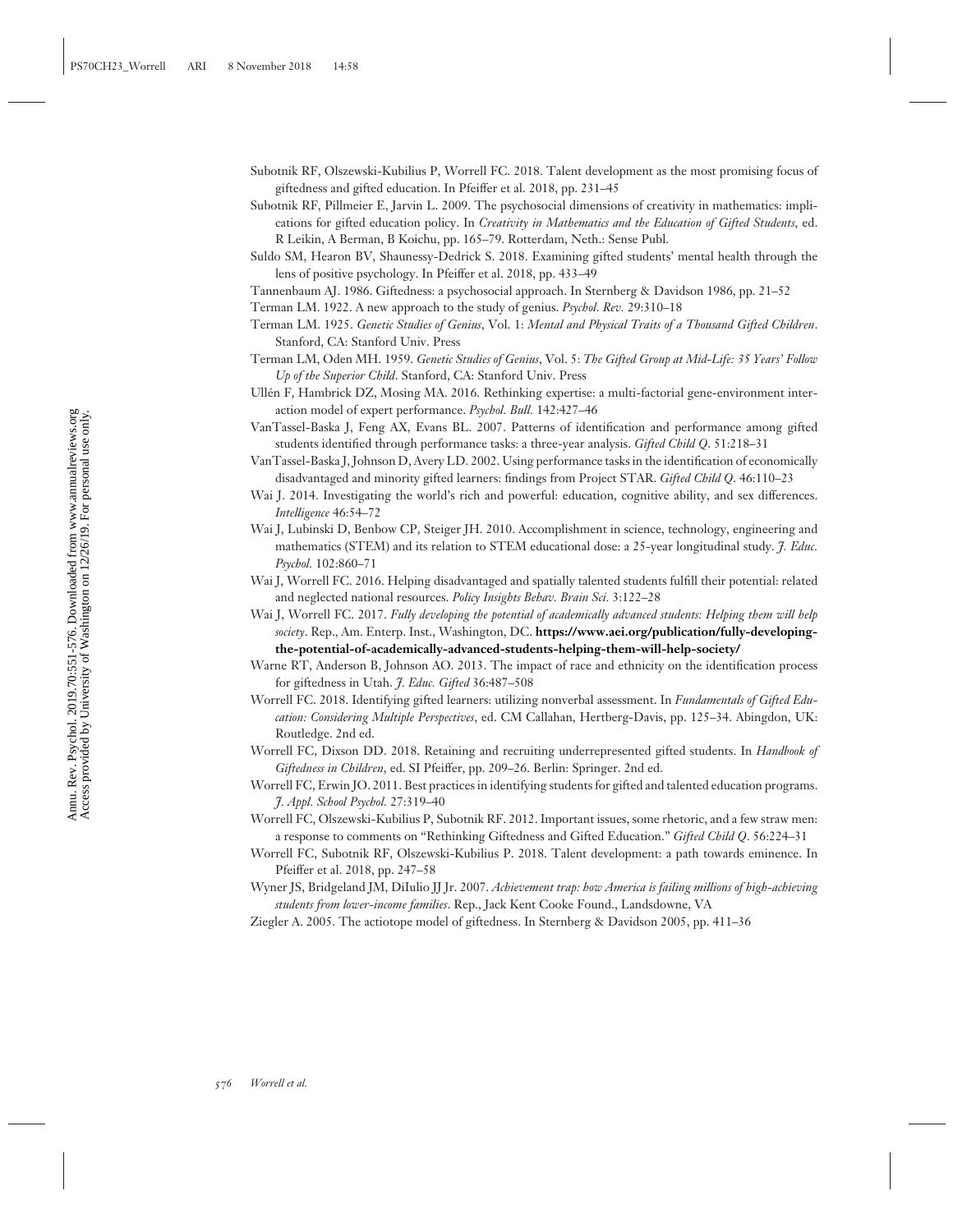- Subotnik RF, Olszewski-Kubilius P, Worrell FC. 2018. Talent development as the most promising focus of giftedness and gifted education. In Pfeiffer et al. 2018, pp. 231–45
- Subotnik RF, Pillmeier E, Jarvin L. 2009. The psychosocial dimensions of creativity in mathematics: implications for gifted education policy. In *Creativity in Mathematics and the Education of Gifted Students*, ed. R Leikin, A Berman, B Koichu, pp. 165–79. Rotterdam, Neth.: Sense Publ.
- Suldo SM, Hearon BV, Shaunessy-Dedrick S. 2018. Examining gifted students' mental health through the lens of positive psychology. In Pfeiffer et al. 2018, pp. 433–49
- Tannenbaum AJ. 1986. Giftedness: a psychosocial approach. In Sternberg & Davidson 1986, pp. 21–52
- Terman LM. 1922. A new approach to the study of genius. *Psychol. Rev.* 29:310–18
- Terman LM. 1925. *Genetic Studies of Genius*, Vol. 1: *Mental and Physical Traits of a Thousand Gifted Children*. Stanford, CA: Stanford Univ. Press
- Terman LM, Oden MH. 1959. *Genetic Studies of Genius*, Vol. 5: *The Gifted Group at Mid-Life: 35 Years' Follow Up of the Superior Child*. Stanford, CA: Stanford Univ. Press
- Ullen F, Hambrick DZ, Mosing MA. 2016. Rethinking expertise: a multi-factorial gene-environment inter- ´ action model of expert performance. *Psychol. Bull.* 142:427–46
- VanTassel-Baska J, Feng AX, Evans BL. 2007. Patterns of identification and performance among gifted students identified through performance tasks: a three-year analysis. *Gifted Child Q*. 51:218–31
- VanTassel-Baska J, Johnson D, Avery LD. 2002. Using performance tasks in the identification of economically disadvantaged and minority gifted learners: findings from Project STAR. *Gifted Child Q*. 46:110–23
- Wai J. 2014. Investigating the world's rich and powerful: education, cognitive ability, and sex differences. *Intelligence* 46:54–72
- Wai J, Lubinski D, Benbow CP, Steiger JH. 2010. Accomplishment in science, technology, engineering and mathematics (STEM) and its relation to STEM educational dose: a 25-year longitudinal study. *J. Educ. Psychol.* 102:860–71
- Wai J, Worrell FC. 2016. Helping disadvantaged and spatially talented students fulfill their potential: related and neglected national resources. *Policy Insights Behav. Brain Sci.* 3:122–28
- Wai J, Worrell FC. 2017. *Fully developing the potential of academically advanced students: Helping them will help society*. Rep., Am. Enterp. Inst., Washington, DC. **[https://www.aei.org/publication/fully-developing](https://www.aei.org/publication/fully-developing-the-potential-of-academically-advanced-students-helping-them-will-help-society/)[the-potential-of-academically-advanced-students-helping-them-will-help-society/](https://www.aei.org/publication/fully-developing-the-potential-of-academically-advanced-students-helping-them-will-help-society/)**
- Warne RT, Anderson B, Johnson AO. 2013. The impact of race and ethnicity on the identification process for giftedness in Utah. *J. Educ. Gifted* 36:487–508
- Worrell FC. 2018. Identifying gifted learners: utilizing nonverbal assessment. In *Fundamentals of Gifted Education: Considering Multiple Perspectives*, ed. CM Callahan, Hertberg-Davis, pp. 125–34. Abingdon, UK: Routledge. 2nd ed.
- Worrell FC, Dixson DD. 2018. Retaining and recruiting underrepresented gifted students. In *Handbook of Giftedness in Children*, ed. SI Pfeiffer, pp. 209–26. Berlin: Springer. 2nd ed.
- Worrell FC, Erwin JO. 2011. Best practices in identifying students for gifted and talented education programs. *J. Appl. School Psychol.* 27:319–40
- Worrell FC, Olszewski-Kubilius P, Subotnik RF. 2012. Important issues, some rhetoric, and a few straw men: a response to comments on "Rethinking Giftedness and Gifted Education." *Gifted Child Q*. 56:224–31
- Worrell FC, Subotnik RF, Olszewski-Kubilius P. 2018. Talent development: a path towards eminence. In Pfeiffer et al. 2018, pp. 247–58
- Wyner JS, Bridgeland JM, DiIulio JJ Jr. 2007. *Achievement trap: how America is failing millions of high-achieving students from lower-income families*. Rep., Jack Kent Cooke Found., Landsdowne, VA
- Ziegler A. 2005. The actiotope model of giftedness. In Sternberg & Davidson 2005, pp. 411–36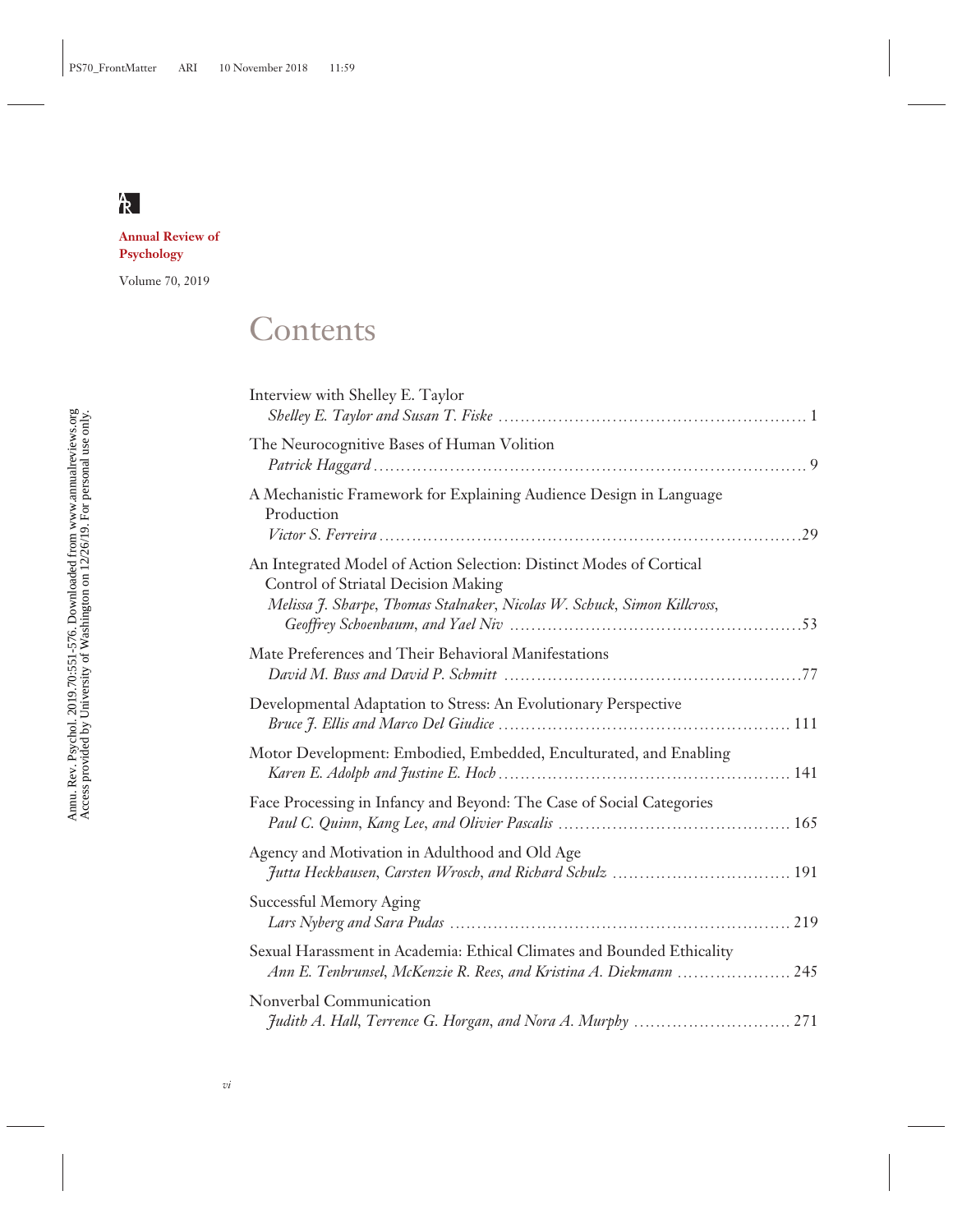**Annual Review of Psychology**

Volume 70, 2019

## **Contents**

| Interview with Shelley E. Taylor                                                                                                                                                       |
|----------------------------------------------------------------------------------------------------------------------------------------------------------------------------------------|
| The Neurocognitive Bases of Human Volition                                                                                                                                             |
| A Mechanistic Framework for Explaining Audience Design in Language<br>Production                                                                                                       |
| An Integrated Model of Action Selection: Distinct Modes of Cortical<br>Control of Striatal Decision Making<br>Melissa J. Sharpe, Thomas Stalnaker, Nicolas W. Schuck, Simon Killcross, |
| Mate Preferences and Their Behavioral Manifestations                                                                                                                                   |
| Developmental Adaptation to Stress: An Evolutionary Perspective                                                                                                                        |
| Motor Development: Embodied, Embedded, Enculturated, and Enabling                                                                                                                      |
| Face Processing in Infancy and Beyond: The Case of Social Categories                                                                                                                   |
| Agency and Motivation in Adulthood and Old Age<br>Jutta Heckhausen, Carsten Wrosch, and Richard Schulz  191                                                                            |
| Successful Memory Aging                                                                                                                                                                |
| Sexual Harassment in Academia: Ethical Climates and Bounded Ethicality<br>Ann E. Tenbrunsel, McKenzie R. Rees, and Kristina A. Diekmann  245                                           |
| Nonverbal Communication                                                                                                                                                                |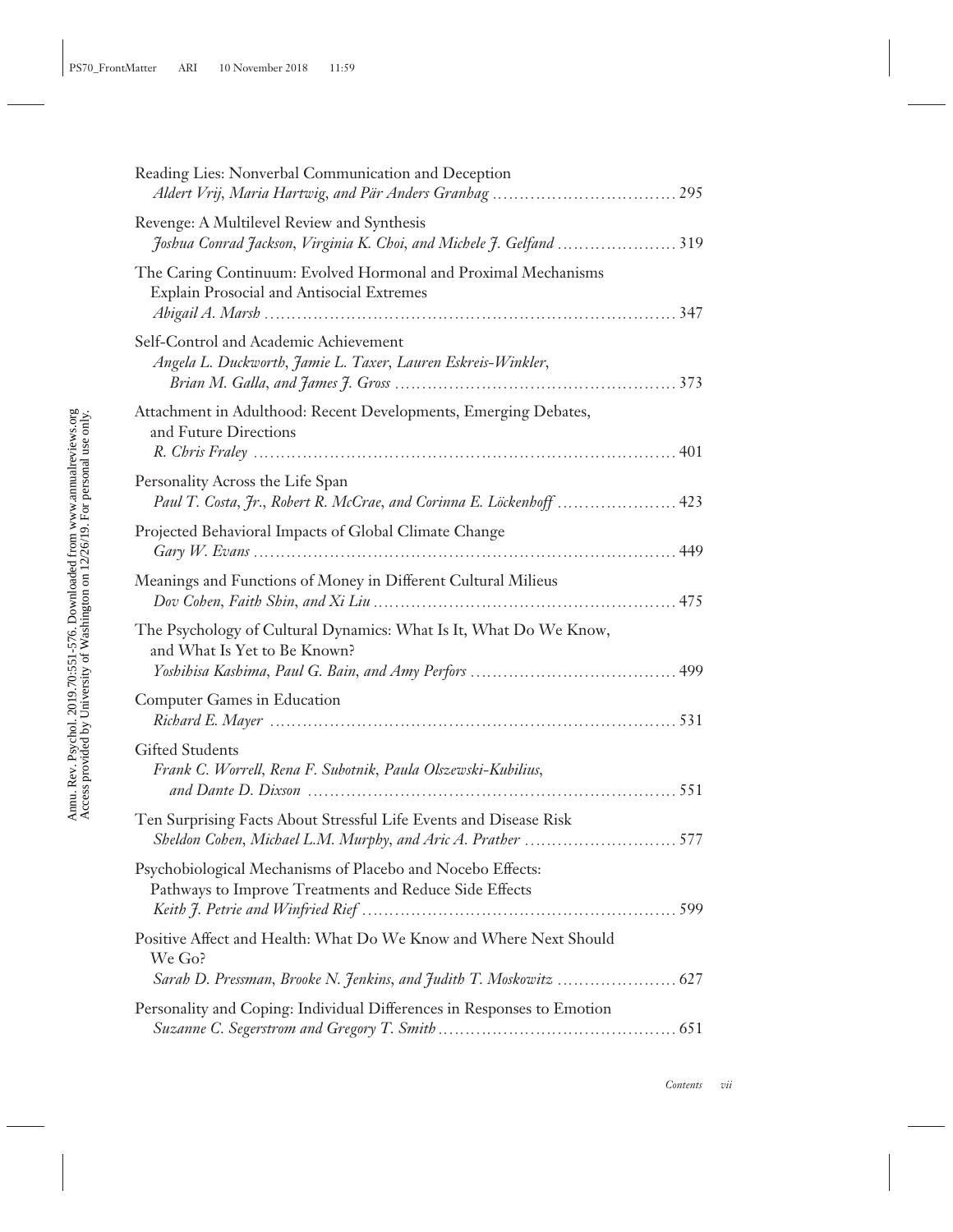| Reading Lies: Nonverbal Communication and Deception                                                                  |
|----------------------------------------------------------------------------------------------------------------------|
| Revenge: A Multilevel Review and Synthesis<br>Joshua Conrad Jackson, Virginia K. Choi, and Michele J. Gelfand  319   |
| The Caring Continuum: Evolved Hormonal and Proximal Mechanisms<br>Explain Prosocial and Antisocial Extremes          |
| Self-Control and Academic Achievement<br>Angela L. Duckworth, Jamie L. Taxer, Lauren Eskreis-Winkler,                |
| Attachment in Adulthood: Recent Developments, Emerging Debates,<br>and Future Directions                             |
| Personality Across the Life Span<br>Paul T. Costa, Jr., Robert R. McCrae, and Corinna E. Löckenhoff  423             |
| Projected Behavioral Impacts of Global Climate Change                                                                |
| Meanings and Functions of Money in Different Cultural Milieus                                                        |
| The Psychology of Cultural Dynamics: What Is It, What Do We Know,<br>and What Is Yet to Be Known?                    |
| <b>Computer Games in Education</b>                                                                                   |
| <b>Gifted Students</b><br>Frank C. Worrell, Rena F. Subotnik, Paula Olszewski-Kubilius,                              |
| Ten Surprising Facts About Stressful Life Events and Disease Risk                                                    |
| Psychobiological Mechanisms of Placebo and Nocebo Effects:<br>Pathways to Improve Treatments and Reduce Side Effects |
| Positive Affect and Health: What Do We Know and Where Next Should<br>We Go?                                          |
| Personality and Coping: Individual Differences in Responses to Emotion                                               |